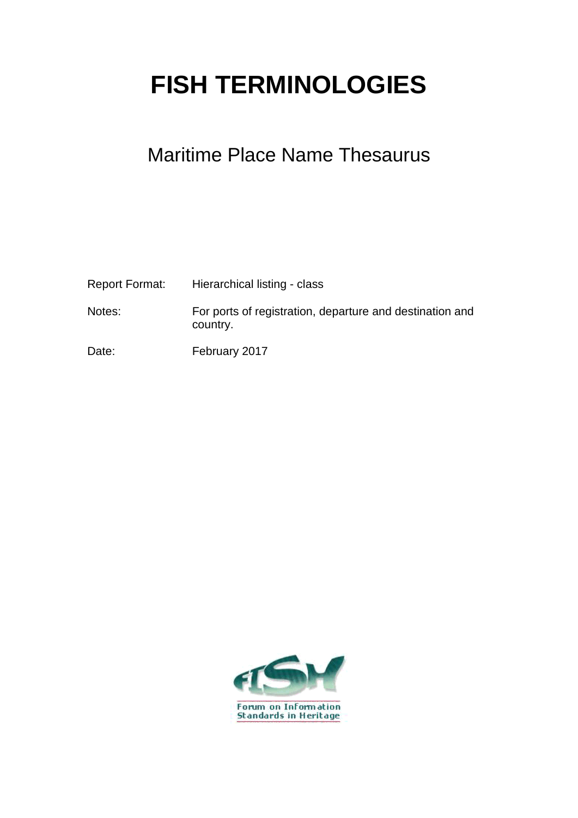## **FISH TERMINOLOGIES**

## Maritime Place Name Thesaurus

| Report Format: | Hierarchical listing - class                                         |
|----------------|----------------------------------------------------------------------|
| Notes:         | For ports of registration, departure and destination and<br>country. |
| Date:          | February 2017                                                        |

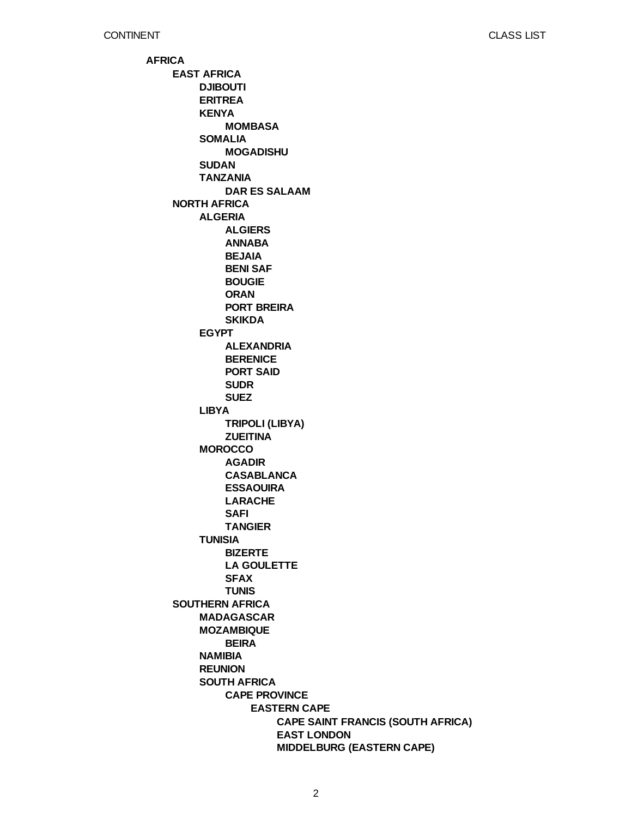**AFRICA EAST AFRICA NORTH AFRICA SOUTHERN AFRICA DJIBOUTI ERITREA KENYA SOMALIA SUDAN TANZANIA ALGERIA EGYPT LIBYA MOROCCO TUNISIA MADAGASCAR MOZAMBIQUE NAMIBIA REUNION SOUTH AFRICA MOMBASA MOGADISHU DAR ES SALAAM ALGIERS ANNABA BEJAIA BENI SAF BOUGIE ORAN PORT BREIRA SKIKDA ALEXANDRIA BERENICE PORT SAID SUDR SUEZ TRIPOLI (LIBYA) ZUEITINA AGADIR CASABLANCA ESSAOUIRA LARACHE SAFI TANGIER BIZERTE LA GOULETTE SFAX TUNIS BEIRA CAPE PROVINCE EASTERN CAPE CAPE SAINT FRANCIS (SOUTH AFRICA) EAST LONDON MIDDELBURG (EASTERN CAPE)**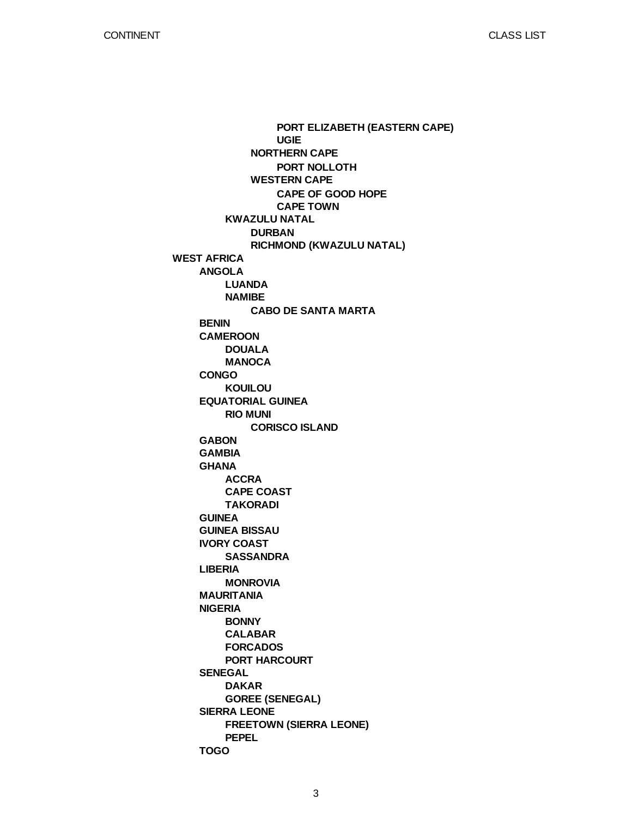**WEST AFRICA ANGOLA BENIN CAMEROON CONGO EQUATORIAL GUINEA GABON GAMBIA GHANA GUINEA GUINEA BISSAU IVORY COAST LIBERIA MAURITANIA NIGERIA SENEGAL SIERRA LEONE TOGO KWAZULU NATAL LUANDA NAMIBE DOUALA MANOCA KOUILOU RIO MUNI ACCRA CAPE COAST TAKORADI SASSANDRA MONROVIA BONNY CALABAR FORCADOS PORT HARCOURT DAKAR GOREE (SENEGAL) FREETOWN (SIERRA LEONE) PEPEL NORTHERN CAPE WESTERN CAPE DURBAN RICHMOND (KWAZULU NATAL) CABO DE SANTA MARTA CORISCO ISLAND PORT ELIZABETH (EASTERN CAPE) UGIE PORT NOLLOTH CAPE OF GOOD HOPE CAPE TOWN**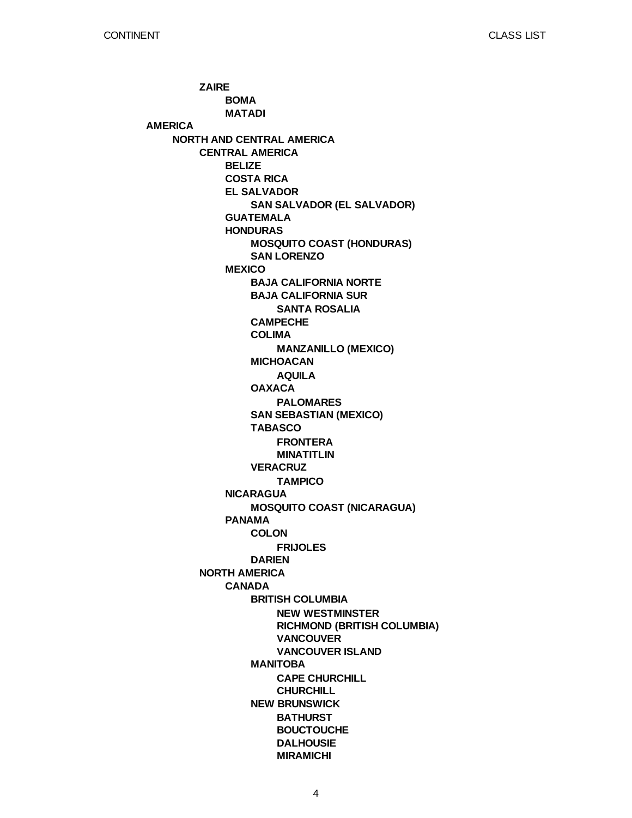**AMERICA NORTH AND CENTRAL AMERICA ZAIRE CENTRAL AMERICA NORTH AMERICA BOMA MATADI BELIZE COSTA RICA EL SALVADOR GUATEMALA HONDURAS MEXICO NICARAGUA PANAMA CANADA SAN SALVADOR (EL SALVADOR) MOSQUITO COAST (HONDURAS) SAN LORENZO BAJA CALIFORNIA NORTE BAJA CALIFORNIA SUR CAMPECHE COLIMA MICHOACAN OAXACA SAN SEBASTIAN (MEXICO) TABASCO VERACRUZ MOSQUITO COAST (NICARAGUA) COLON DARIEN BRITISH COLUMBIA MANITOBA NEW BRUNSWICK SANTA ROSALIA MANZANILLO (MEXICO) AQUILA PALOMARES FRONTERA MINATITLIN TAMPICO FRIJOLES NEW WESTMINSTER RICHMOND (BRITISH COLUMBIA) VANCOUVER VANCOUVER ISLAND CAPE CHURCHILL CHURCHILL BATHURST BOUCTOUCHE DALHOUSIE MIRAMICHI**

4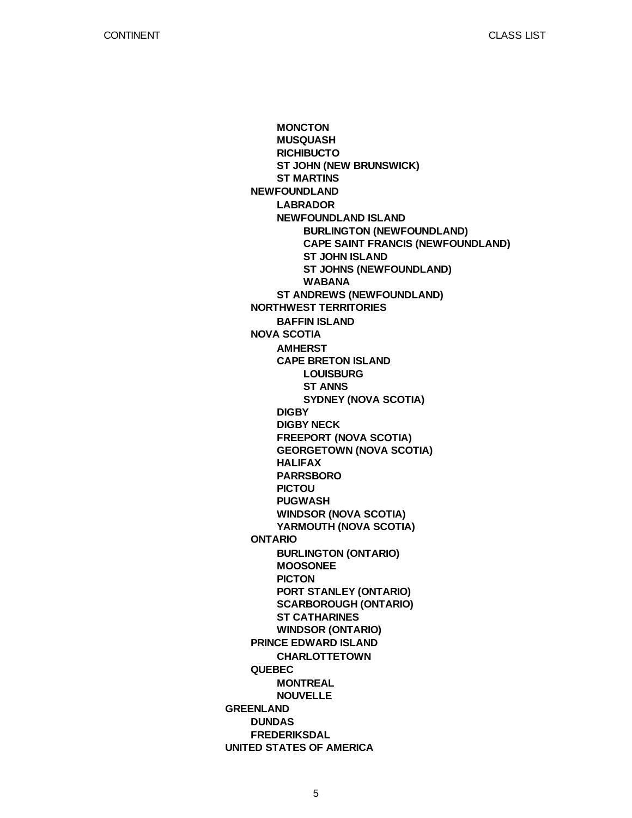**GREENLAND UNITED STATES OF AMERICA NEWFOUNDLAND NORTHWEST TERRITORIES NOVA SCOTIA ONTARIO PRINCE EDWARD ISLAND QUEBEC DUNDAS FREDERIKSDAL MONCTON MUSQUASH RICHIBUCTO ST JOHN (NEW BRUNSWICK) ST MARTINS LABRADOR NEWFOUNDLAND ISLAND ST ANDREWS (NEWFOUNDLAND) BAFFIN ISLAND AMHERST CAPE BRETON ISLAND DIGBY DIGBY NECK FREEPORT (NOVA SCOTIA) GEORGETOWN (NOVA SCOTIA) HALIFAX PARRSBORO PICTOU PUGWASH WINDSOR (NOVA SCOTIA) YARMOUTH (NOVA SCOTIA) BURLINGTON (ONTARIO) MOOSONEE PICTON PORT STANLEY (ONTARIO) SCARBOROUGH (ONTARIO) ST CATHARINES WINDSOR (ONTARIO) CHARLOTTETOWN MONTREAL NOUVELLE BURLINGTON (NEWFOUNDLAND) CAPE SAINT FRANCIS (NEWFOUNDLAND) ST JOHN ISLAND ST JOHNS (NEWFOUNDLAND) WABANA LOUISBURG ST ANNS SYDNEY (NOVA SCOTIA)**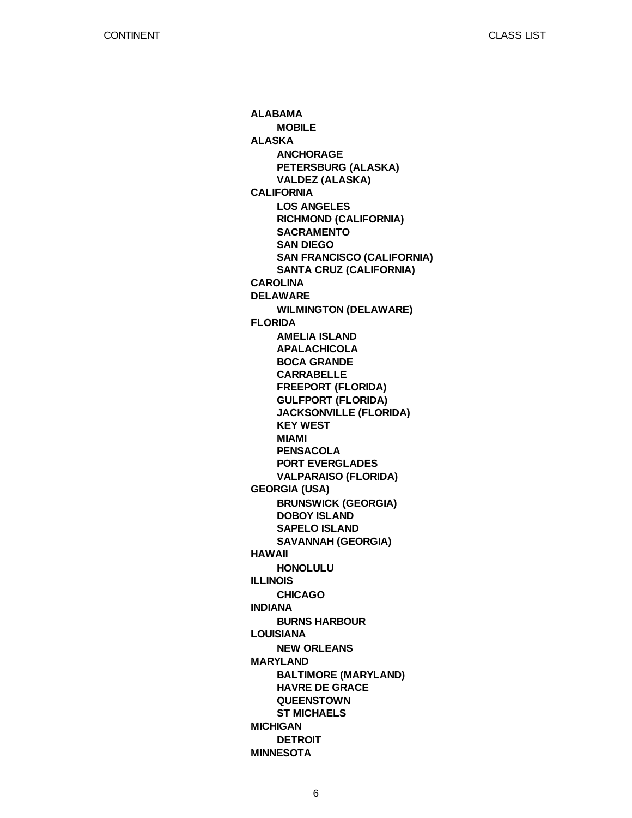**ALABAMA ALASKA CALIFORNIA CAROLINA DELAWARE FLORIDA GEORGIA (USA) HAWAII ILLINOIS INDIANA LOUISIANA MARYLAND MICHIGAN MINNESOTA MOBILE ANCHORAGE PETERSBURG (ALASKA) VALDEZ (ALASKA) LOS ANGELES RICHMOND (CALIFORNIA) SACRAMENTO SAN DIEGO SAN FRANCISCO (CALIFORNIA) SANTA CRUZ (CALIFORNIA) WILMINGTON (DELAWARE) AMELIA ISLAND APALACHICOLA BOCA GRANDE CARRABELLE FREEPORT (FLORIDA) GULFPORT (FLORIDA) JACKSONVILLE (FLORIDA) KEY WEST MIAMI PENSACOLA PORT EVERGLADES VALPARAISO (FLORIDA) BRUNSWICK (GEORGIA) DOBOY ISLAND SAPELO ISLAND SAVANNAH (GEORGIA) HONOLULU CHICAGO BURNS HARBOUR NEW ORLEANS BALTIMORE (MARYLAND) HAVRE DE GRACE QUEENSTOWN ST MICHAELS DETROIT**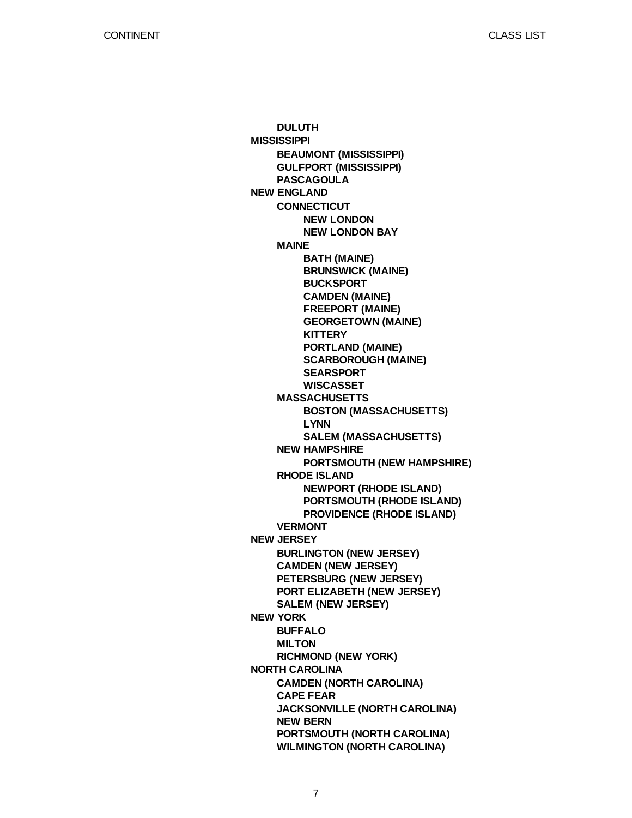CLASS LIST

**MISSISSIPPI NEW ENGLAND NEW JERSEY NEW YORK NORTH CAROLINA DULUTH BEAUMONT (MISSISSIPPI) GULFPORT (MISSISSIPPI) PASCAGOULA CONNECTICUT MAINE MASSACHUSETTS NEW HAMPSHIRE RHODE ISLAND VERMONT BURLINGTON (NEW JERSEY) CAMDEN (NEW JERSEY) PETERSBURG (NEW JERSEY) PORT ELIZABETH (NEW JERSEY) SALEM (NEW JERSEY) BUFFALO MILTON RICHMOND (NEW YORK) CAMDEN (NORTH CAROLINA) CAPE FEAR JACKSONVILLE (NORTH CAROLINA) NEW BERN PORTSMOUTH (NORTH CAROLINA) WILMINGTON (NORTH CAROLINA) NEW LONDON NEW LONDON BAY BATH (MAINE) BRUNSWICK (MAINE) BUCKSPORT CAMDEN (MAINE) FREEPORT (MAINE) GEORGETOWN (MAINE) KITTERY PORTLAND (MAINE) SCARBOROUGH (MAINE) SEARSPORT WISCASSET BOSTON (MASSACHUSETTS) LYNN SALEM (MASSACHUSETTS) PORTSMOUTH (NEW HAMPSHIRE) NEWPORT (RHODE ISLAND) PORTSMOUTH (RHODE ISLAND) PROVIDENCE (RHODE ISLAND)**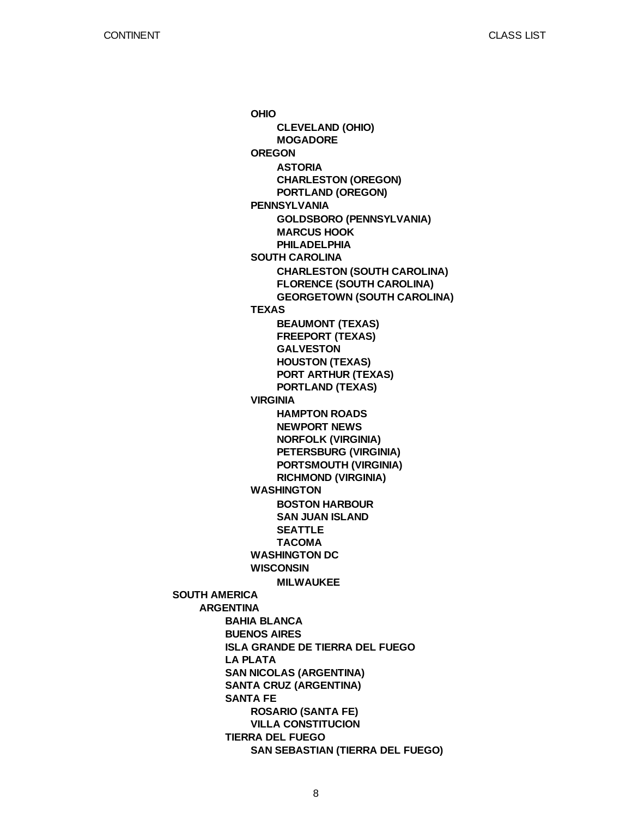**SOUTH AMERICA ARGENTINA BAHIA BLANCA BUENOS AIRES ISLA GRANDE DE TIERRA DEL FUEGO LA PLATA SAN NICOLAS (ARGENTINA) SANTA CRUZ (ARGENTINA) SANTA FE TIERRA DEL FUEGO OHIO OREGON PENNSYLVANIA SOUTH CAROLINA TEXAS VIRGINIA WASHINGTON WASHINGTON DC WISCONSIN ROSARIO (SANTA FE) VILLA CONSTITUCION SAN SEBASTIAN (TIERRA DEL FUEGO) CLEVELAND (OHIO) MOGADORE ASTORIA CHARLESTON (OREGON) PORTLAND (OREGON) GOLDSBORO (PENNSYLVANIA) MARCUS HOOK PHILADELPHIA CHARLESTON (SOUTH CAROLINA) FLORENCE (SOUTH CAROLINA) GEORGETOWN (SOUTH CAROLINA) BEAUMONT (TEXAS) FREEPORT (TEXAS) GALVESTON HOUSTON (TEXAS) PORT ARTHUR (TEXAS) PORTLAND (TEXAS) HAMPTON ROADS NEWPORT NEWS NORFOLK (VIRGINIA) PETERSBURG (VIRGINIA) PORTSMOUTH (VIRGINIA) RICHMOND (VIRGINIA) BOSTON HARBOUR SAN JUAN ISLAND SEATTLE TACOMA MILWAUKEE**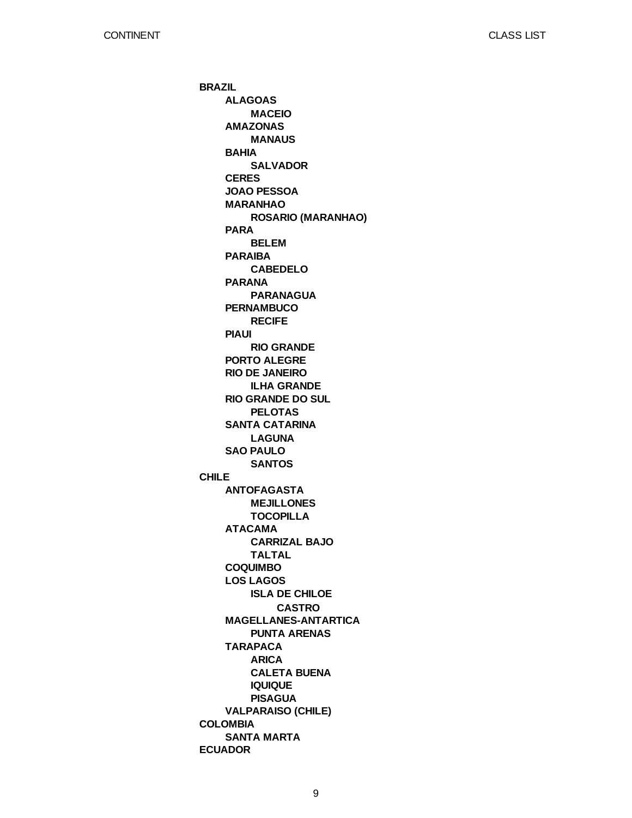**BRAZIL CHILE COLOMBIA ECUADOR ALAGOAS AMAZONAS BAHIA CERES JOAO PESSOA MARANHAO PARA PARAIBA PARANA PERNAMBUCO PIAUI PORTO ALEGRE RIO DE JANEIRO RIO GRANDE DO SUL SANTA CATARINA SAO PAULO ANTOFAGASTA ATACAMA COQUIMBO LOS LAGOS MAGELLANES-ANTARTICA TARAPACA VALPARAISO (CHILE) SANTA MARTA MACEIO MANAUS SALVADOR ROSARIO (MARANHAO) BELEM CABEDELO PARANAGUA RECIFE RIO GRANDE ILHA GRANDE PELOTAS LAGUNA SANTOS MEJILLONES TOCOPILLA CARRIZAL BAJO TALTAL ISLA DE CHILOE PUNTA ARENAS ARICA CALETA BUENA IQUIQUE PISAGUA CASTRO**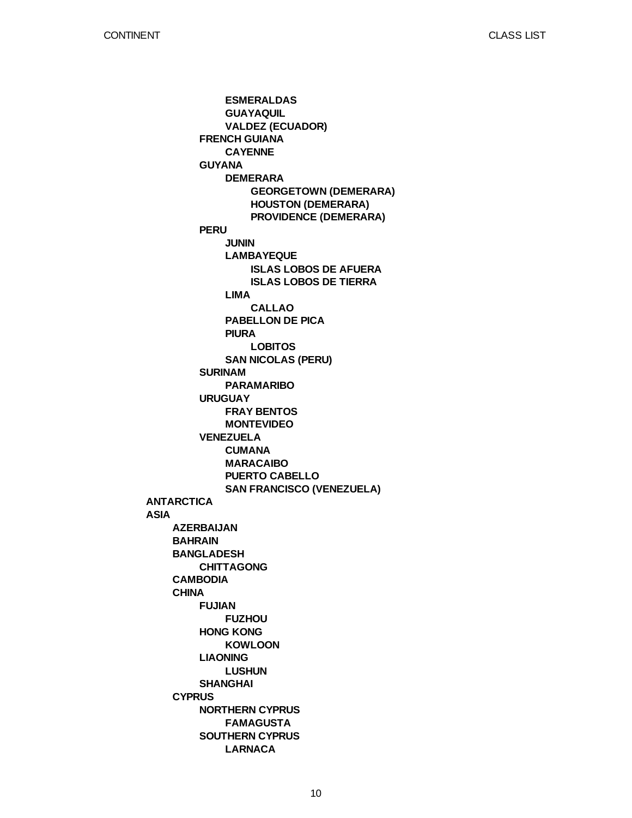**ANTARCTICA ASIA AZERBAIJAN BAHRAIN BANGLADESH CAMBODIA CHINA CYPRUS FRENCH GUIANA GUYANA PERU SURINAM URUGUAY VENEZUELA CHITTAGONG FUJIAN HONG KONG LIAONING SHANGHAI NORTHERN CYPRUS SOUTHERN CYPRUS ESMERALDAS GUAYAQUIL VALDEZ (ECUADOR) CAYENNE DEMERARA JUNIN LAMBAYEQUE LIMA PABELLON DE PICA PIURA SAN NICOLAS (PERU) PARAMARIBO FRAY BENTOS MONTEVIDEO CUMANA MARACAIBO PUERTO CABELLO SAN FRANCISCO (VENEZUELA) FUZHOU KOWLOON LUSHUN FAMAGUSTA LARNACA GEORGETOWN (DEMERARA) HOUSTON (DEMERARA) PROVIDENCE (DEMERARA) ISLAS LOBOS DE AFUERA ISLAS LOBOS DE TIERRA CALLAO LOBITOS**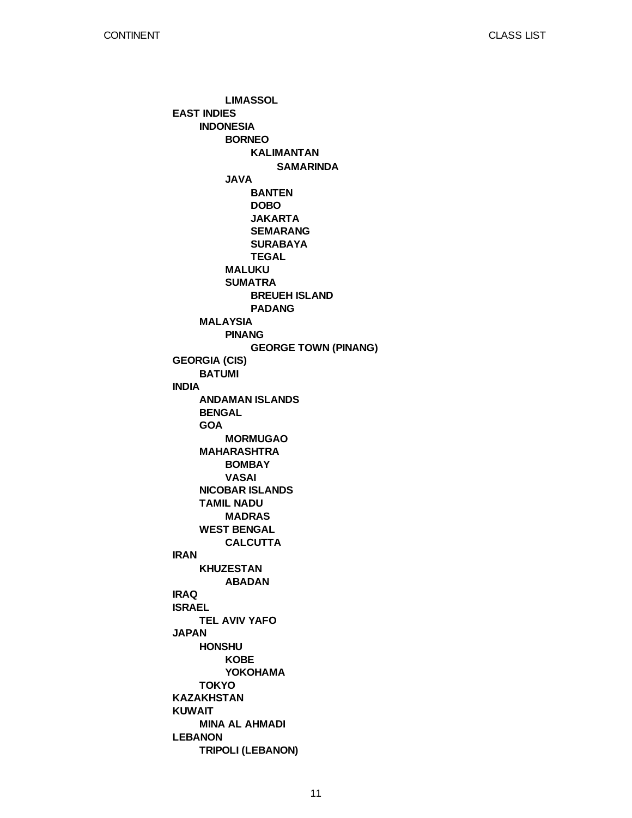**EAST INDIES GEORGIA (CIS) INDIA IRAN IRAQ ISRAEL JAPAN KAZAKHSTAN KUWAIT LEBANON INDONESIA MALAYSIA BATUMI ANDAMAN ISLANDS BENGAL GOA MAHARASHTRA NICOBAR ISLANDS TAMIL NADU WEST BENGAL KHUZESTAN TEL AVIV YAFO HONSHU TOKYO MINA AL AHMADI TRIPOLI (LEBANON) LIMASSOL BORNEO JAVA MALUKU SUMATRA PINANG MORMUGAO BOMBAY VASAI MADRAS CALCUTTA ABADAN KOBE YOKOHAMA KALIMANTAN BANTEN DOBO JAKARTA SEMARANG SURABAYA TEGAL BREUEH ISLAND PADANG GEORGE TOWN (PINANG) SAMARINDA**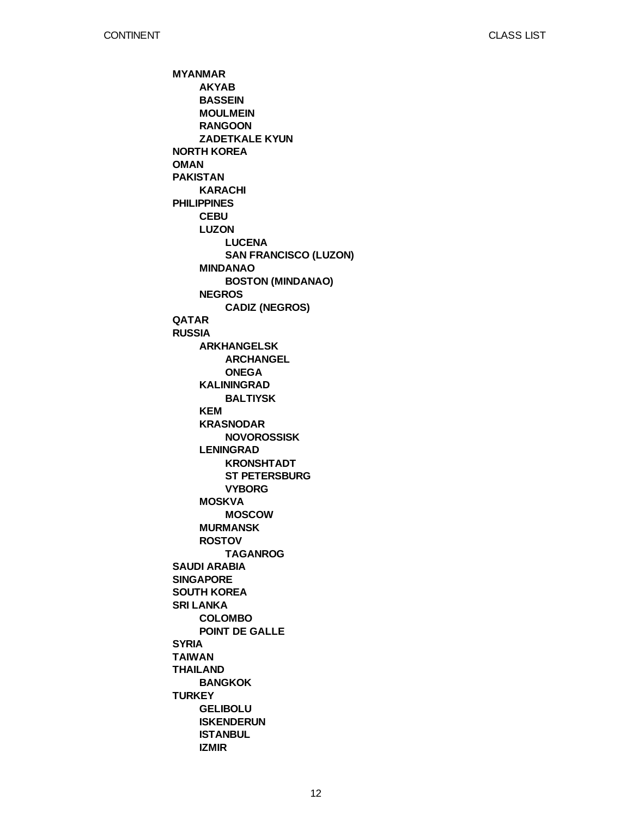**MYANMAR NORTH KOREA OMAN PAKISTAN PHILIPPINES QATAR RUSSIA SAUDI ARABIA SINGAPORE SOUTH KOREA SRI LANKA SYRIA TAIWAN THAILAND TURKEY AKYAB BASSEIN MOULMEIN RANGOON ZADETKALE KYUN KARACHI CEBU LUZON MINDANAO NEGROS ARKHANGELSK KALININGRAD KEM KRASNODAR LENINGRAD MOSKVA MURMANSK ROSTOV COLOMBO POINT DE GALLE BANGKOK GELIBOLU ISKENDERUN ISTANBUL IZMIR LUCENA SAN FRANCISCO (LUZON) BOSTON (MINDANAO) CADIZ (NEGROS) ARCHANGEL ONEGA BALTIYSK NOVOROSSISK KRONSHTADT ST PETERSBURG VYBORG MOSCOW TAGANROG**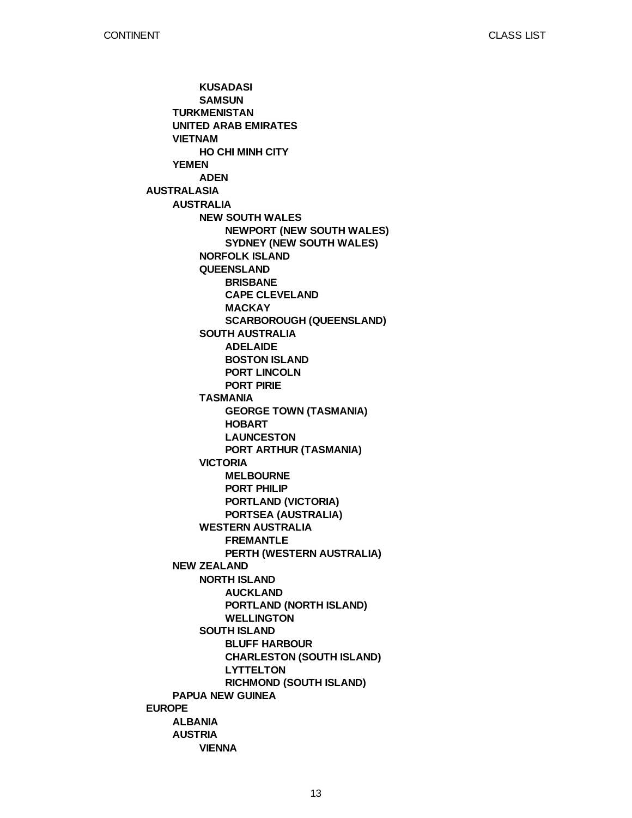**AUSTRALASIA EUROPE TURKMENISTAN UNITED ARAB EMIRATES VIETNAM YEMEN AUSTRALIA NEW ZEALAND PAPUA NEW GUINEA ALBANIA AUSTRIA KUSADASI SAMSUN HO CHI MINH CITY ADEN NEW SOUTH WALES NORFOLK ISLAND QUEENSLAND SOUTH AUSTRALIA TASMANIA VICTORIA WESTERN AUSTRALIA NORTH ISLAND SOUTH ISLAND VIENNA NEWPORT (NEW SOUTH WALES) SYDNEY (NEW SOUTH WALES) BRISBANE CAPE CLEVELAND MACKAY SCARBOROUGH (QUEENSLAND) ADELAIDE BOSTON ISLAND PORT LINCOLN PORT PIRIE GEORGE TOWN (TASMANIA) HOBART LAUNCESTON PORT ARTHUR (TASMANIA) MELBOURNE PORT PHILIP PORTLAND (VICTORIA) PORTSEA (AUSTRALIA) FREMANTLE PERTH (WESTERN AUSTRALIA) AUCKLAND PORTLAND (NORTH ISLAND) WELLINGTON BLUFF HARBOUR CHARLESTON (SOUTH ISLAND) LYTTELTON RICHMOND (SOUTH ISLAND)**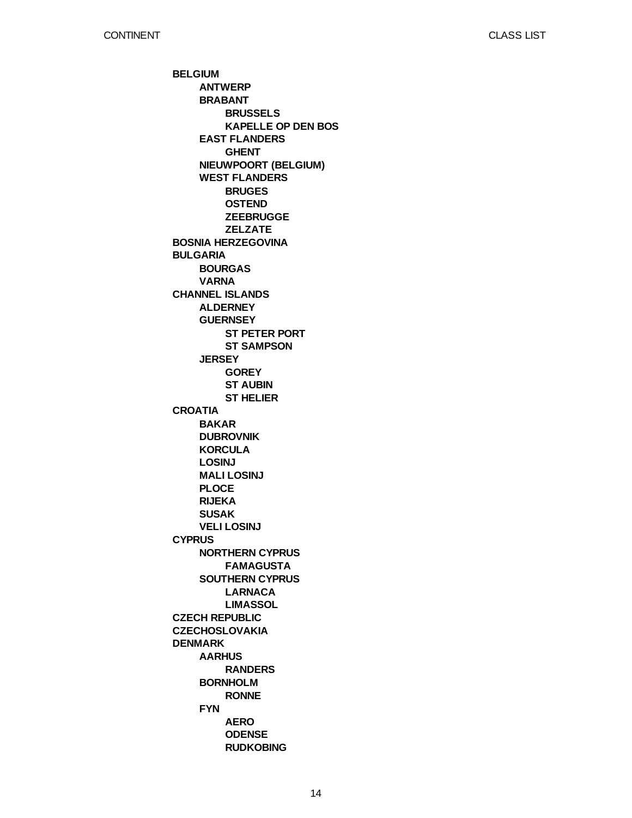**BELGIUM BOSNIA HERZEGOVINA BULGARIA CHANNEL ISLANDS CROATIA CYPRUS CZECH REPUBLIC CZECHOSLOVAKIA DENMARK ANTWERP BRABANT EAST FLANDERS NIEUWPOORT (BELGIUM) WEST FLANDERS BOURGAS VARNA ALDERNEY GUERNSEY JERSEY BAKAR DUBROVNIK KORCULA LOSINJ MALI LOSINJ PLOCE RIJEKA SUSAK VELI LOSINJ NORTHERN CYPRUS SOUTHERN CYPRUS AARHUS BORNHOLM FYN BRUSSELS KAPELLE OP DEN BOS GHENT BRUGES OSTEND ZEEBRUGGE ZELZATE ST PETER PORT ST SAMPSON GOREY ST AUBIN ST HELIER FAMAGUSTA LARNACA LIMASSOL RANDERS RONNE AERO ODENSE RUDKOBING**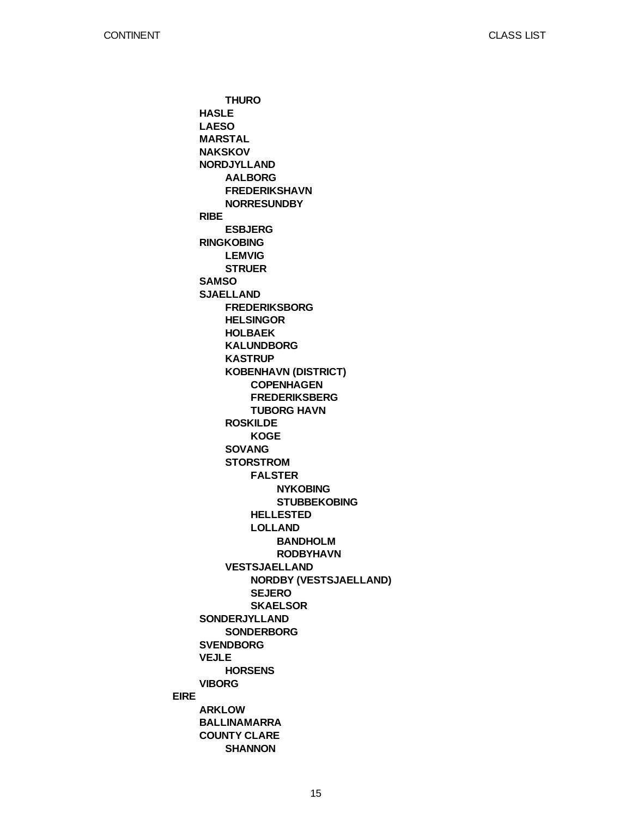**EIRE HASLE LAESO MARSTAL NAKSKOV NORDJYLLAND RIBE RINGKOBING SAMSO SJAELLAND SONDERJYLLAND SVENDBORG VEJLE VIBORG ARKLOW BALLINAMARRA COUNTY CLARE THURO AALBORG FREDERIKSHAVN NORRESUNDBY ESBJERG LEMVIG STRUER FREDERIKSBORG HELSINGOR HOLBAEK KALUNDBORG KASTRUP KOBENHAVN (DISTRICT) ROSKILDE SOVANG STORSTROM VESTSJAELLAND SONDERBORG HORSENS SHANNON COPENHAGEN FREDERIKSBERG TUBORG HAVN KOGE FALSTER HELLESTED LOLLAND NORDBY (VESTSJAELLAND) SEJERO SKAELSOR NYKOBING STUBBEKOBING BANDHOLM RODBYHAVN**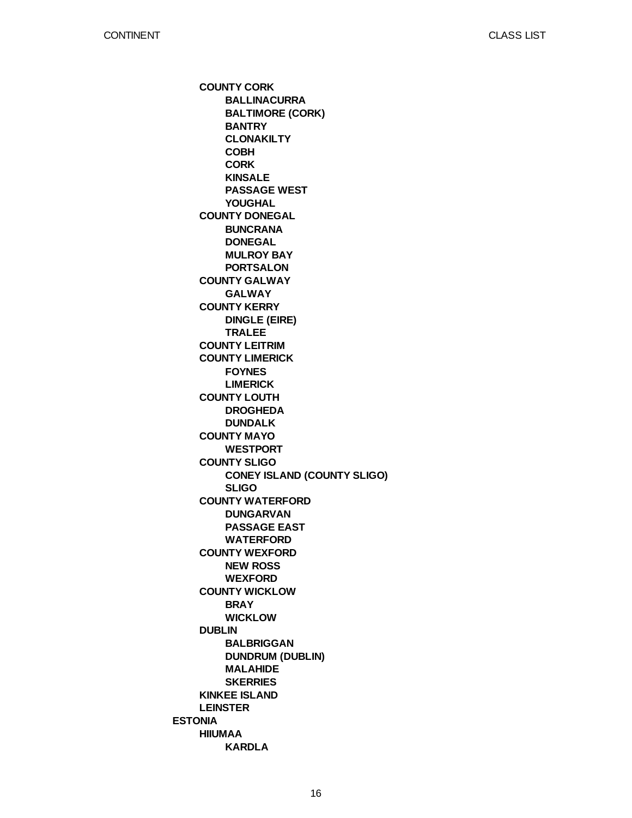**ESTONIA COUNTY CORK COUNTY DONEGAL COUNTY GALWAY COUNTY KERRY COUNTY LEITRIM COUNTY LIMERICK COUNTY LOUTH COUNTY MAYO COUNTY SLIGO COUNTY WATERFORD COUNTY WEXFORD COUNTY WICKLOW DUBLIN KINKEE ISLAND LEINSTER HIIUMAA BALLINACURRA BALTIMORE (CORK) BANTRY CLONAKILTY COBH CORK KINSALE PASSAGE WEST YOUGHAL BUNCRANA DONEGAL MULROY BAY PORTSALON GALWAY DINGLE (EIRE) TRALEE FOYNES LIMERICK DROGHEDA DUNDALK WESTPORT CONEY ISLAND (COUNTY SLIGO) SLIGO DUNGARVAN PASSAGE EAST WATERFORD NEW ROSS WEXFORD BRAY WICKLOW BALBRIGGAN DUNDRUM (DUBLIN) MALAHIDE SKERRIES KARDLA**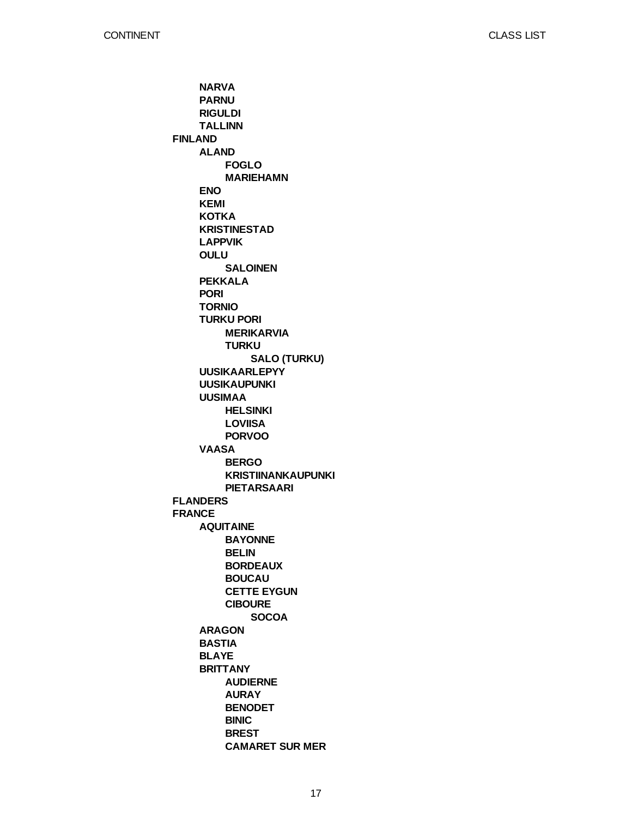**FINLAND FLANDERS FRANCE NARVA PARNU RIGULDI TALLINN ALAND ENO KEMI KOTKA KRISTINESTAD LAPPVIK OULU PEKKALA PORI TORNIO TURKU PORI UUSIKAARLEPYY UUSIKAUPUNKI UUSIMAA VAASA AQUITAINE ARAGON BASTIA BLAYE BRITTANY FOGLO MARIEHAMN SALOINEN MERIKARVIA TURKU HELSINKI LOVIISA PORVOO BERGO KRISTIINANKAUPUNKI PIETARSAARI BAYONNE BELIN BORDEAUX BOUCAU CETTE EYGUN CIBOURE AUDIERNE AURAY BENODET BINIC BREST CAMARET SUR MER SALO (TURKU) SOCOA**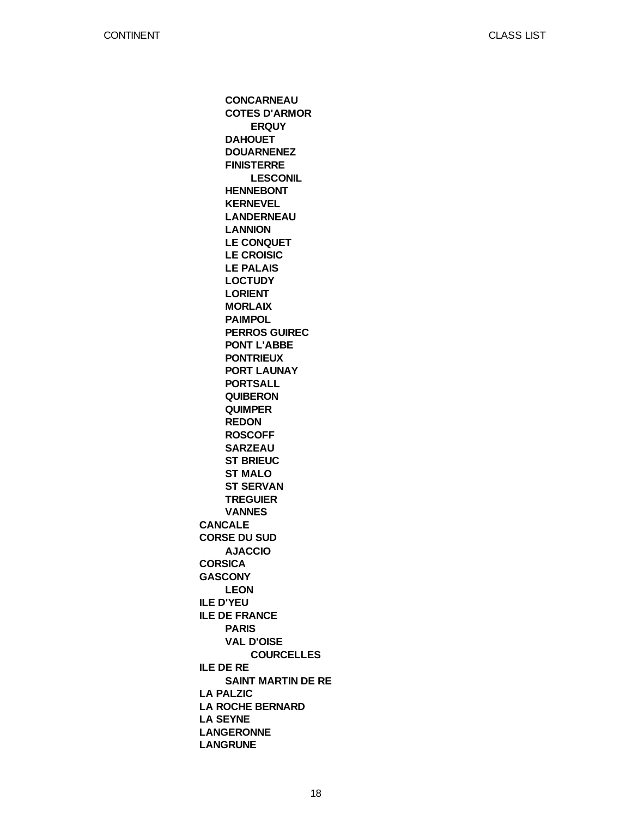**CANCALE CORSE DU SUD CORSICA GASCONY ILE D'YEU ILE DE FRANCE ILE DE RE LA PALZIC LA ROCHE BERNARD LA SEYNE LANGERONNE LANGRUNE CONCARNEAU COTES D'ARMOR DAHOUET DOUARNENEZ FINISTERRE HENNEBONT KERNEVEL LANDERNEAU LANNION LE CONQUET LE CROISIC LE PALAIS LOCTUDY LORIENT MORLAIX PAIMPOL PERROS GUIREC PONT L'ABBE PONTRIEUX PORT LAUNAY PORTSALL QUIBERON QUIMPER REDON ROSCOFF SARZEAU ST BRIEUC ST MALO ST SERVAN TREGUIER VANNES AJACCIO LEON PARIS VAL D'OISE SAINT MARTIN DE RE ERQUY LESCONIL COURCELLES**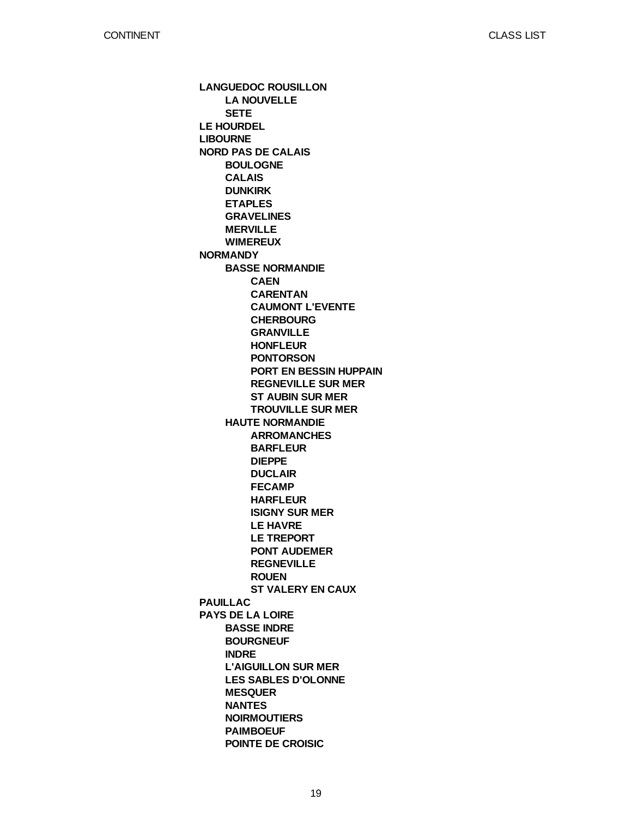**LANGUEDOC ROUSILLON LE HOURDEL LIBOURNE NORD PAS DE CALAIS NORMANDY PAUILLAC PAYS DE LA LOIRE LA NOUVELLE SETE BOULOGNE CALAIS DUNKIRK ETAPLES GRAVELINES MERVILLE WIMEREUX BASSE NORMANDIE HAUTE NORMANDIE BASSE INDRE BOURGNEUF INDRE L'AIGUILLON SUR MER LES SABLES D'OLONNE MESQUER NANTES NOIRMOUTIERS PAIMBOEUF POINTE DE CROISIC CAEN CARENTAN CAUMONT L'EVENTE CHERBOURG GRANVILLE HONFLEUR PONTORSON PORT EN BESSIN HUPPAIN REGNEVILLE SUR MER ST AUBIN SUR MER TROUVILLE SUR MER ARROMANCHES BARFLEUR DIEPPE DUCLAIR FECAMP HARFLEUR ISIGNY SUR MER LE HAVRE LE TREPORT PONT AUDEMER REGNEVILLE ROUEN ST VALERY EN CAUX**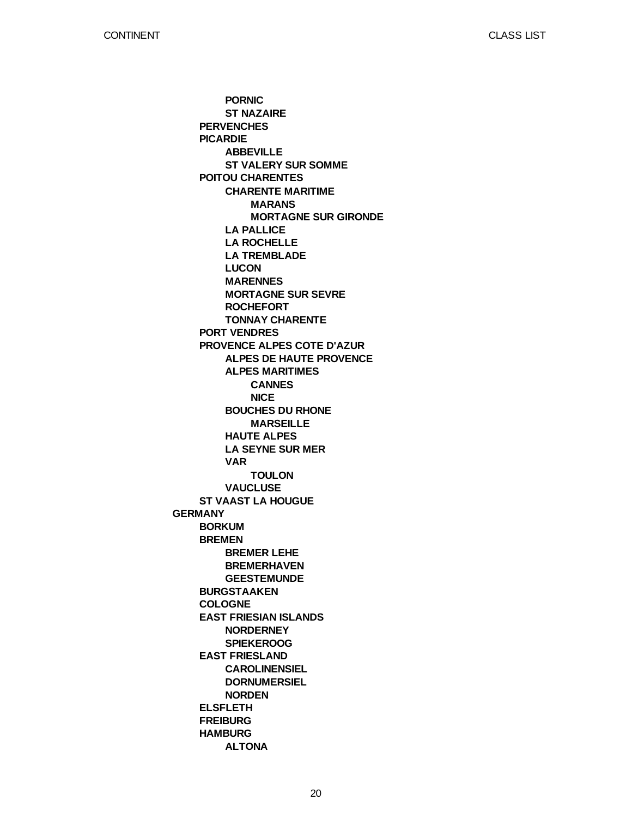**GERMANY PERVENCHES PICARDIE POITOU CHARENTES PORT VENDRES PROVENCE ALPES COTE D'AZUR ST VAAST LA HOUGUE BORKUM BREMEN BURGSTAAKEN COLOGNE EAST FRIESIAN ISLANDS EAST FRIESLAND ELSFLETH FREIBURG HAMBURG PORNIC ST NAZAIRE ABBEVILLE ST VALERY SUR SOMME CHARENTE MARITIME LA PALLICE LA ROCHELLE LA TREMBLADE LUCON MARENNES MORTAGNE SUR SEVRE ROCHEFORT TONNAY CHARENTE ALPES DE HAUTE PROVENCE ALPES MARITIMES BOUCHES DU RHONE HAUTE ALPES LA SEYNE SUR MER VAR VAUCLUSE BREMER LEHE BREMERHAVEN GEESTEMUNDE NORDERNEY SPIEKEROOG CAROLINENSIEL DORNUMERSIEL NORDEN ALTONA MARANS MORTAGNE SUR GIRONDE CANNES NICE MARSEILLE TOULON**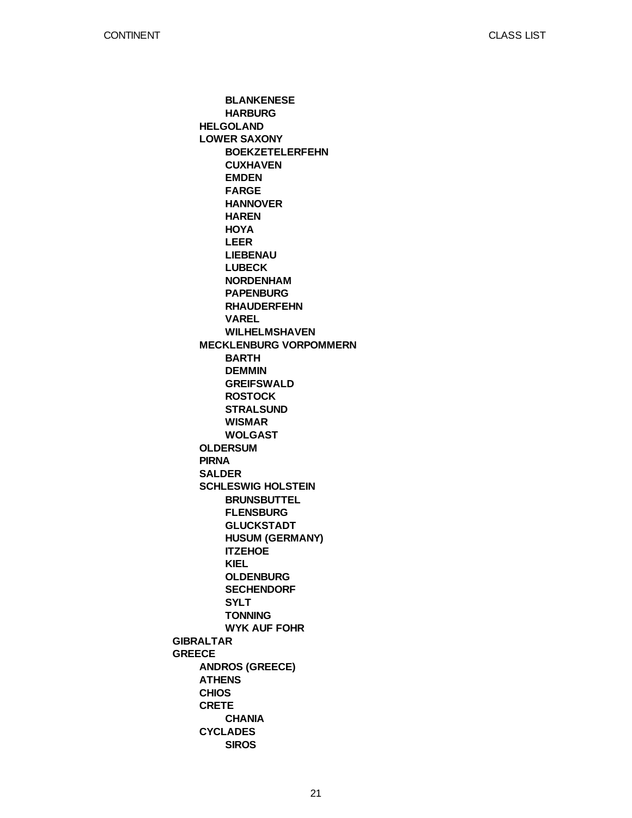**GIBRALTAR GREECE HELGOLAND LOWER SAXONY MECKLENBURG VORPOMMERN OLDERSUM PIRNA SALDER SCHLESWIG HOLSTEIN ANDROS (GREECE) ATHENS CHIOS CRETE CYCLADES BLANKENESE HARBURG BOEKZETELERFEHN CUXHAVEN EMDEN FARGE HANNOVER HAREN HOYA LEER LIEBENAU LUBECK NORDENHAM PAPENBURG RHAUDERFEHN VAREL WILHELMSHAVEN BARTH DEMMIN GREIFSWALD ROSTOCK STRALSUND WISMAR WOLGAST BRUNSBUTTEL FLENSBURG GLUCKSTADT HUSUM (GERMANY) ITZEHOE KIEL OLDENBURG SECHENDORF SYLT TONNING WYK AUF FOHR CHANIA SIROS**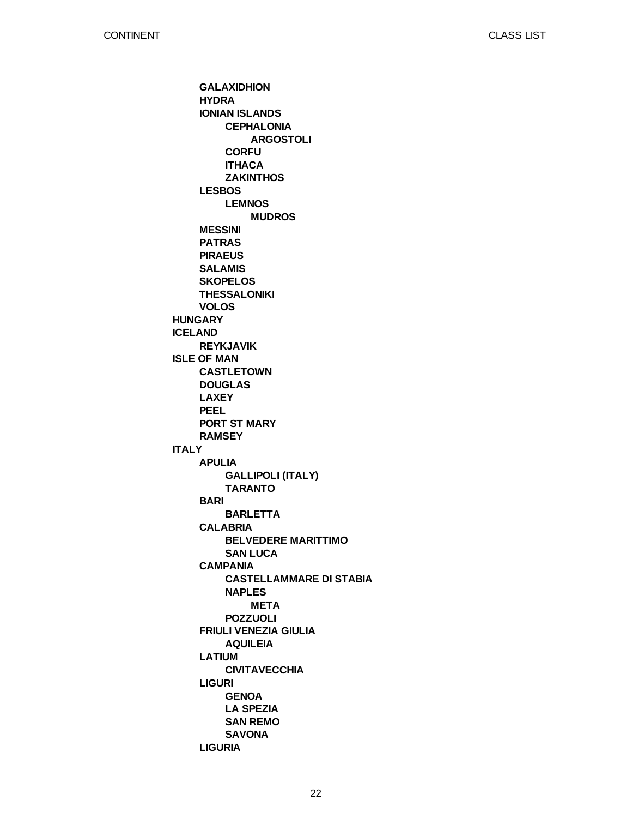**HUNGARY ICELAND ISLE OF MAN ITALY GALAXIDHION HYDRA IONIAN ISLANDS LESBOS MESSINI PATRAS PIRAEUS SALAMIS SKOPELOS THESSALONIKI VOLOS REYKJAVIK CASTLETOWN DOUGLAS LAXEY PEEL PORT ST MARY RAMSEY APULIA BARI CALABRIA CAMPANIA FRIULI VENEZIA GIULIA LATIUM LIGURI LIGURIA CEPHALONIA CORFU ITHACA ZAKINTHOS LEMNOS GALLIPOLI (ITALY) TARANTO BARLETTA BELVEDERE MARITTIMO SAN LUCA CASTELLAMMARE DI STABIA NAPLES POZZUOLI AQUILEIA CIVITAVECCHIA GENOA LA SPEZIA SAN REMO SAVONA ARGOSTOLI MUDROS META**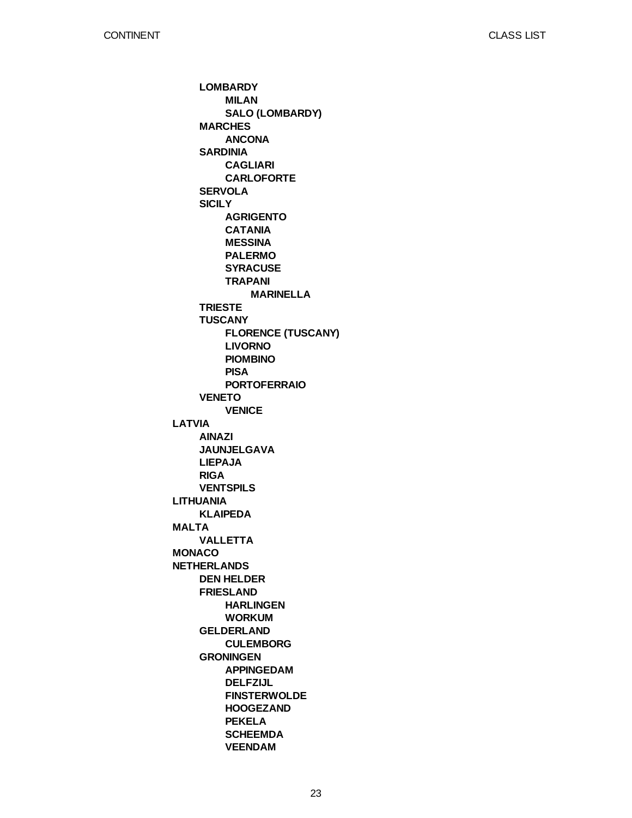**LATVIA LITHUANIA MALTA MONACO NETHERLANDS LOMBARDY MARCHES SARDINIA SERVOLA SICILY TRIESTE TUSCANY VENETO AINAZI JAUNJELGAVA LIEPAJA RIGA VENTSPILS KLAIPEDA VALLETTA DEN HELDER FRIESLAND GELDERLAND GRONINGEN MILAN SALO (LOMBARDY) ANCONA CAGLIARI CARLOFORTE AGRIGENTO CATANIA MESSINA PALERMO SYRACUSE TRAPANI FLORENCE (TUSCANY) LIVORNO PIOMBINO PISA PORTOFERRAIO VENICE HARLINGEN WORKUM CULEMBORG APPINGEDAM DELFZIJL FINSTERWOLDE HOOGEZAND PEKELA SCHEEMDA VEENDAM MARINELLA**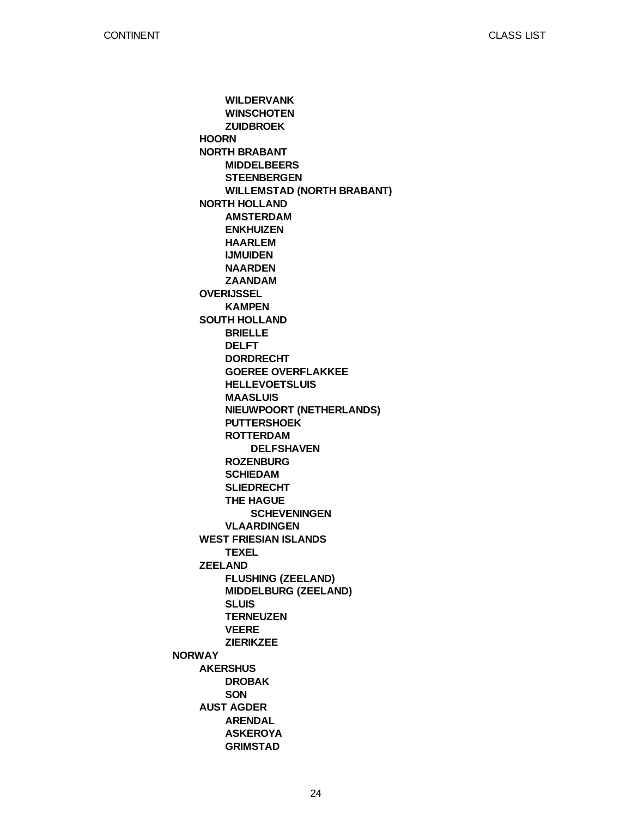**NORWAY HOORN NORTH BRABANT NORTH HOLLAND OVERIJSSEL SOUTH HOLLAND WEST FRIESIAN ISLANDS ZEELAND AKERSHUS AUST AGDER WILDERVANK WINSCHOTEN ZUIDBROEK MIDDELBEERS STEENBERGEN WILLEMSTAD (NORTH BRABANT) AMSTERDAM ENKHUIZEN HAARLEM IJMUIDEN NAARDEN ZAANDAM KAMPEN BRIELLE DELFT DORDRECHT GOEREE OVERFLAKKEE HELLEVOETSLUIS MAASLUIS NIEUWPOORT (NETHERLANDS) PUTTERSHOEK ROTTERDAM ROZENBURG SCHIEDAM SLIEDRECHT THE HAGUE VLAARDINGEN TEXEL FLUSHING (ZEELAND) MIDDELBURG (ZEELAND) SLUIS TERNEUZEN VEERE ZIERIKZEE DROBAK SON ARENDAL ASKEROYA GRIMSTAD DELFSHAVEN SCHEVENINGEN**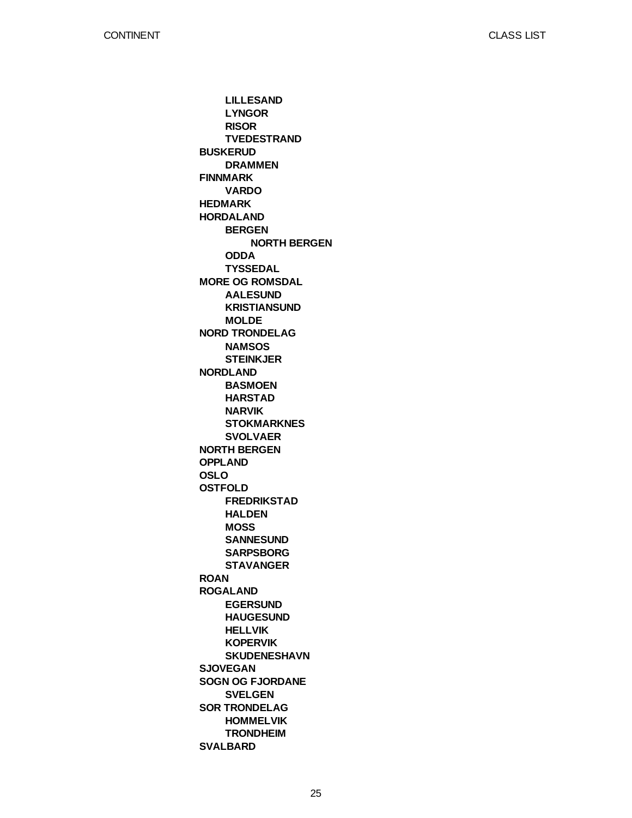**BUSKERUD FINNMARK HEDMARK HORDALAND MORE OG ROMSDAL NORD TRONDELAG NORDLAND NORTH BERGEN OPPLAND OSLO OSTFOLD ROAN ROGALAND SJOVEGAN SOGN OG FJORDANE SOR TRONDELAG SVALBARD LILLESAND LYNGOR RISOR TVEDESTRAND DRAMMEN VARDO BERGEN ODDA TYSSEDAL AALESUND KRISTIANSUND MOLDE NAMSOS STEINKJER BASMOEN HARSTAD NARVIK STOKMARKNES SVOLVAER FREDRIKSTAD HALDEN MOSS SANNESUND SARPSBORG STAVANGER EGERSUND HAUGESUND HELLVIK KOPERVIK SKUDENESHAVN SVELGEN HOMMELVIK TRONDHEIM NORTH BERGEN**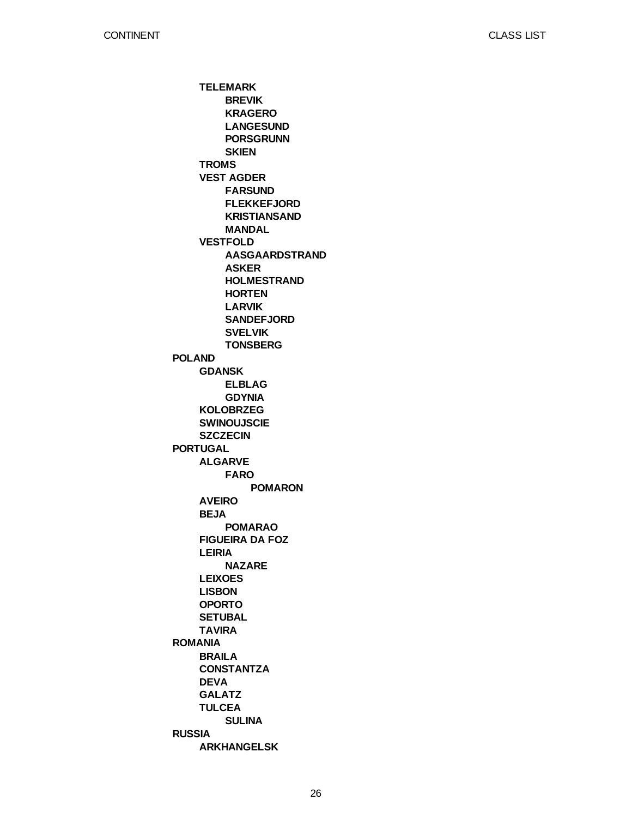**POLAND PORTUGAL ROMANIA RUSSIA TELEMARK TROMS VEST AGDER VESTFOLD GDANSK KOLOBRZEG SWINOUJSCIE SZCZECIN ALGARVE AVEIRO BEJA FIGUEIRA DA FOZ LEIRIA LEIXOES LISBON OPORTO SETUBAL TAVIRA BRAILA CONSTANTZA DEVA GALATZ TULCEA ARKHANGELSK BREVIK KRAGERO LANGESUND PORSGRUNN SKIEN FARSUND FLEKKEFJORD KRISTIANSAND MANDAL AASGAARDSTRAND ASKER HOLMESTRAND HORTEN LARVIK SANDEFJORD SVELVIK TONSBERG ELBLAG GDYNIA FARO POMARAO NAZARE SULINA POMARON**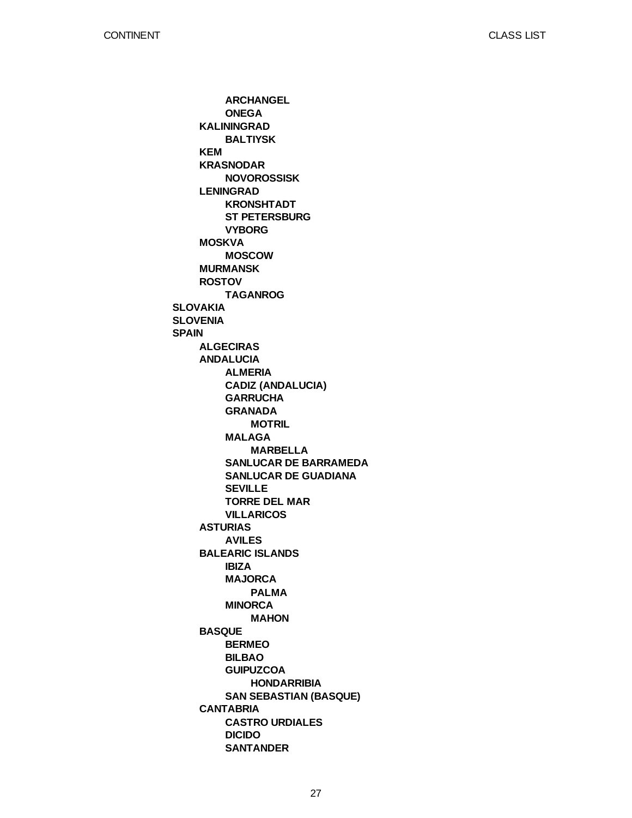**SLOVAKIA SLOVENIA SPAIN KALININGRAD KEM KRASNODAR LENINGRAD MOSKVA MURMANSK ROSTOV ALGECIRAS ANDALUCIA ASTURIAS BALEARIC ISLANDS BASQUE CANTABRIA ARCHANGEL ONEGA BALTIYSK NOVOROSSISK KRONSHTADT ST PETERSBURG VYBORG MOSCOW TAGANROG ALMERIA CADIZ (ANDALUCIA) GARRUCHA GRANADA MALAGA SANLUCAR DE BARRAMEDA SANLUCAR DE GUADIANA SEVILLE TORRE DEL MAR VILLARICOS AVILES IBIZA MAJORCA MINORCA BERMEO BILBAO GUIPUZCOA SAN SEBASTIAN (BASQUE) CASTRO URDIALES DICIDO SANTANDER MOTRIL MARBELLA PALMA MAHON HONDARRIBIA**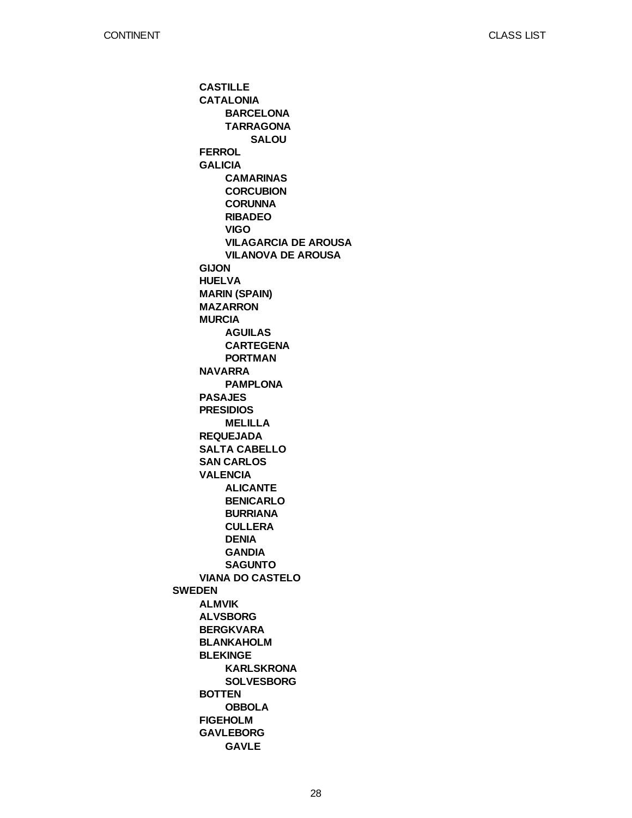**SWEDEN CASTILLE CATALONIA FERROL GALICIA GIJON HUELVA MARIN (SPAIN) MAZARRON MURCIA NAVARRA PASAJES PRESIDIOS REQUEJADA SALTA CABELLO SAN CARLOS VALENCIA VIANA DO CASTELO ALMVIK ALVSBORG BERGKVARA BLANKAHOLM BLEKINGE BOTTEN FIGEHOLM GAVLEBORG BARCELONA TARRAGONA CAMARINAS CORCUBION CORUNNA RIBADEO VIGO VILAGARCIA DE AROUSA VILANOVA DE AROUSA AGUILAS CARTEGENA PORTMAN PAMPLONA MELILLA ALICANTE BENICARLO BURRIANA CULLERA DENIA GANDIA SAGUNTO KARLSKRONA SOLVESBORG OBBOLA GAVLE SALOU**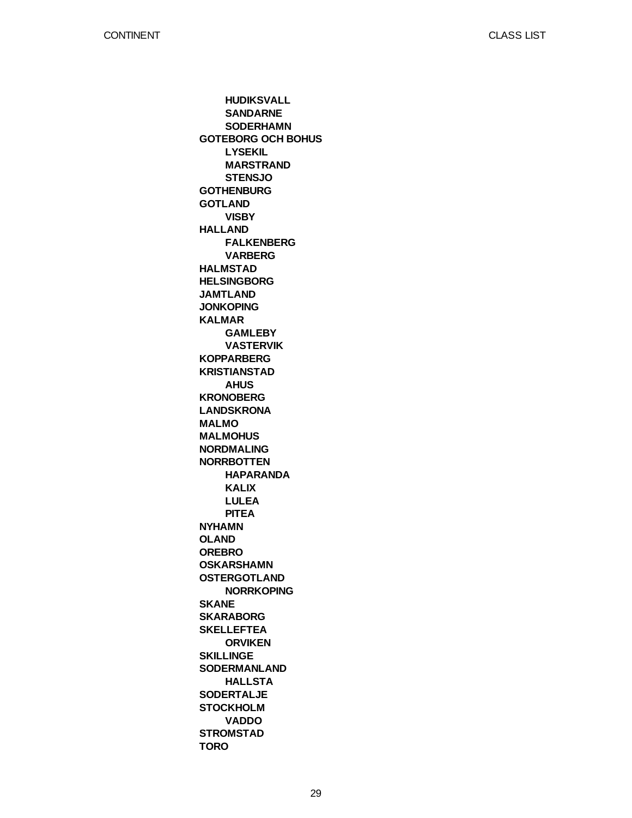**GOTEBORG OCH BOHUS GOTHENBURG GOTLAND HALLAND HALMSTAD HELSINGBORG JAMTLAND JONKOPING KALMAR KOPPARBERG KRISTIANSTAD KRONOBERG LANDSKRONA MALMO MALMOHUS NORDMALING NORRBOTTEN NYHAMN OLAND OREBRO OSKARSHAMN OSTERGOTLAND SKANE SKARABORG SKELLEFTEA SKILLINGE SODERMANLAND SODERTALJE STOCKHOLM STROMSTAD TORO HUDIKSVALL SANDARNE SODERHAMN LYSEKIL MARSTRAND STENSJO VISBY FALKENBERG VARBERG GAMLEBY VASTERVIK AHUS HAPARANDA KALIX LULEA PITEA NORRKOPING ORVIKEN HALLSTA VADDO**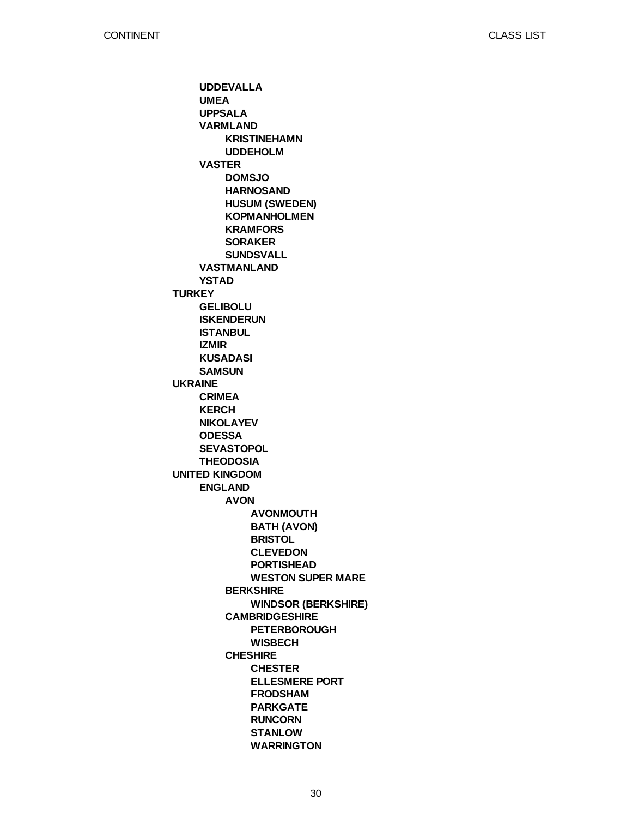**TURKEY UKRAINE UNITED KINGDOM UDDEVALLA UMEA UPPSALA VARMLAND VASTER VASTMANLAND YSTAD GELIBOLU ISKENDERUN ISTANBUL IZMIR KUSADASI SAMSUN CRIMEA KERCH NIKOLAYEV ODESSA SEVASTOPOL THEODOSIA ENGLAND KRISTINEHAMN UDDEHOLM DOMSJO HARNOSAND HUSUM (SWEDEN) KOPMANHOLMEN KRAMFORS SORAKER SUNDSVALL AVON BERKSHIRE CAMBRIDGESHIRE CHESHIRE AVONMOUTH BATH (AVON) BRISTOL CLEVEDON PORTISHEAD WESTON SUPER MARE WINDSOR (BERKSHIRE) PETERBOROUGH WISBECH CHESTER ELLESMERE PORT FRODSHAM PARKGATE RUNCORN STANLOW WARRINGTON**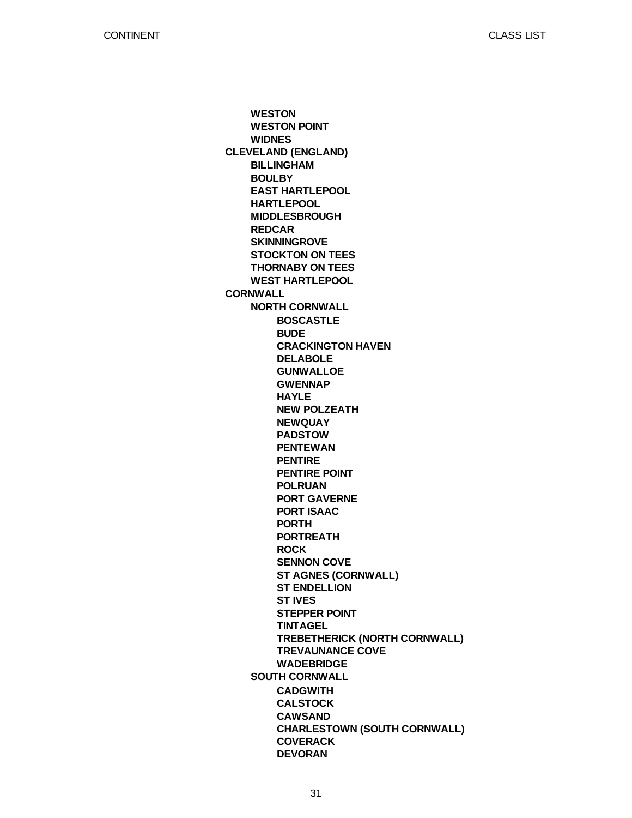**CLEVELAND (ENGLAND) CORNWALL WESTON WESTON POINT WIDNES BILLINGHAM BOULBY EAST HARTLEPOOL HARTLEPOOL MIDDLESBROUGH REDCAR SKINNINGROVE STOCKTON ON TEES THORNABY ON TEES WEST HARTLEPOOL NORTH CORNWALL SOUTH CORNWALL BOSCASTLE BUDE CRACKINGTON HAVEN DELABOLE GUNWALLOE GWENNAP HAYLE NEW POLZEATH NEWQUAY PADSTOW PENTEWAN PENTIRE PENTIRE POINT POLRUAN PORT GAVERNE PORT ISAAC PORTH PORTREATH ROCK SENNON COVE ST AGNES (CORNWALL) ST ENDELLION ST IVES STEPPER POINT TINTAGEL TREBETHERICK (NORTH CORNWALL) TREVAUNANCE COVE WADEBRIDGE CADGWITH CALSTOCK CAWSAND CHARLESTOWN (SOUTH CORNWALL) COVERACK DEVORAN**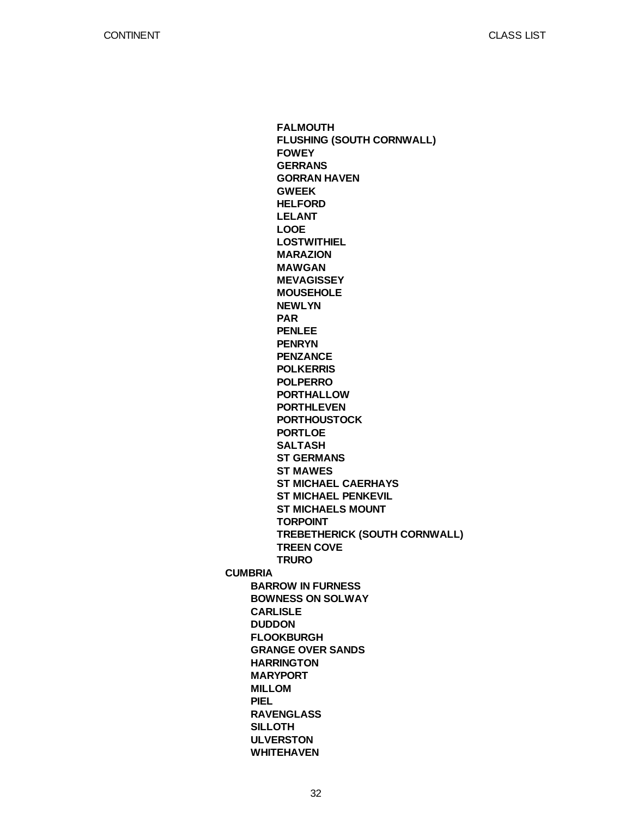**CUMBRIA BARROW IN FURNESS BOWNESS ON SOLWAY CARLISLE DUDDON FLOOKBURGH GRANGE OVER SANDS HARRINGTON MARYPORT MILLOM PIEL RAVENGLASS SILLOTH ULVERSTON WHITEHAVEN FALMOUTH FLUSHING (SOUTH CORNWALL) FOWEY GERRANS GORRAN HAVEN GWEEK HELFORD LELANT LOOE LOSTWITHIEL MARAZION MAWGAN MEVAGISSEY MOUSEHOLE NEWLYN PAR PENLEE PENRYN PENZANCE POLKERRIS POLPERRO PORTHALLOW PORTHLEVEN PORTHOUSTOCK PORTLOE SALTASH ST GERMANS ST MAWES ST MICHAEL CAERHAYS ST MICHAEL PENKEVIL ST MICHAELS MOUNT TORPOINT TREBETHERICK (SOUTH CORNWALL) TREEN COVE TRURO**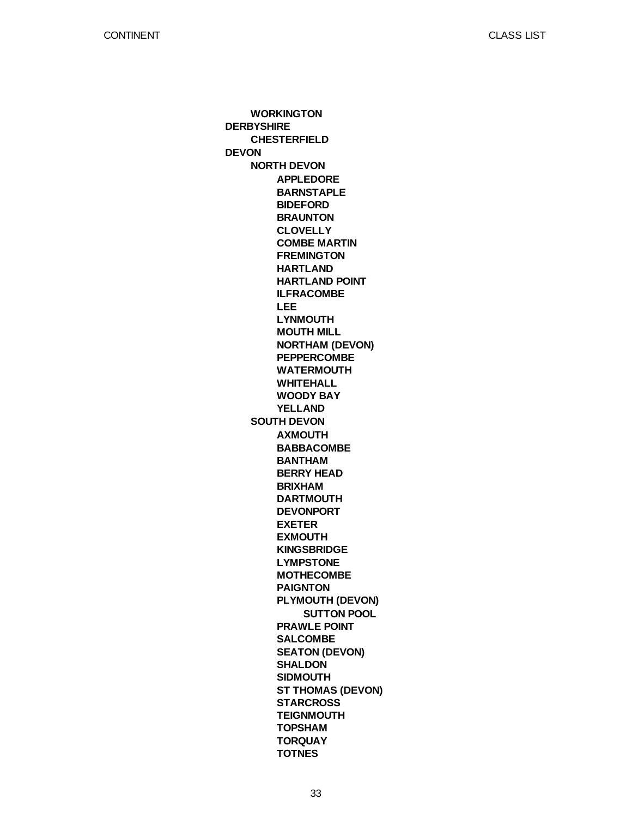**DERBYSHIRE DEVON WORKINGTON CHESTERFIELD NORTH DEVON SOUTH DEVON APPLEDORE BARNSTAPLE BIDEFORD BRAUNTON CLOVELLY COMBE MARTIN FREMINGTON HARTLAND HARTLAND POINT ILFRACOMBE LEE LYNMOUTH MOUTH MILL NORTHAM (DEVON) PEPPERCOMBE WATERMOUTH WHITEHALL WOODY BAY YELLAND AXMOUTH BABBACOMBE BANTHAM BERRY HEAD BRIXHAM DARTMOUTH DEVONPORT EXETER EXMOUTH KINGSBRIDGE LYMPSTONE MOTHECOMBE PAIGNTON PLYMOUTH (DEVON) PRAWLE POINT SALCOMBE SEATON (DEVON) SHALDON SIDMOUTH ST THOMAS (DEVON) STARCROSS TEIGNMOUTH TOPSHAM TORQUAY TOTNES SUTTON POOL**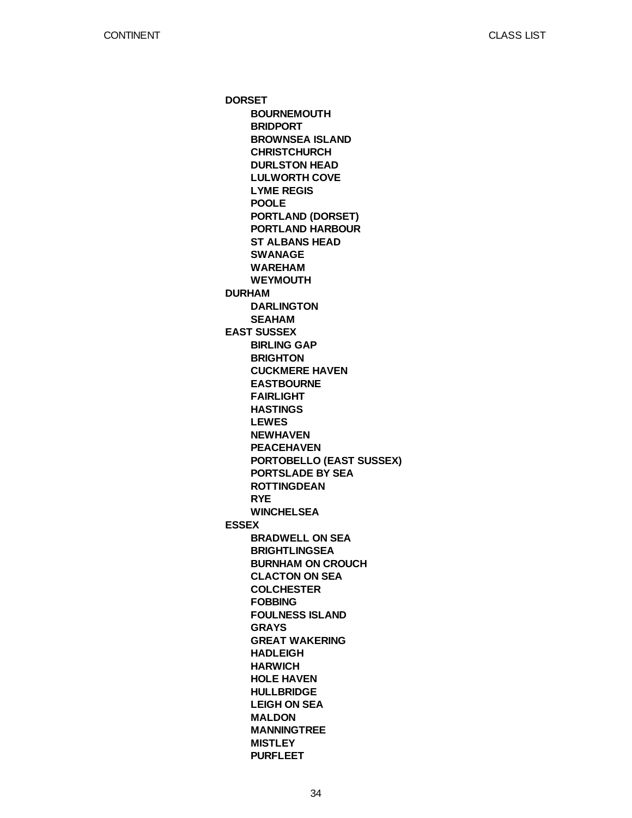**DORSET DURHAM EAST SUSSEX ESSEX BOURNEMOUTH BRIDPORT BROWNSEA ISLAND CHRISTCHURCH DURLSTON HEAD LULWORTH COVE LYME REGIS POOLE PORTLAND (DORSET) PORTLAND HARBOUR ST ALBANS HEAD SWANAGE WAREHAM WEYMOUTH DARLINGTON SEAHAM BIRLING GAP BRIGHTON CUCKMERE HAVEN EASTBOURNE FAIRLIGHT HASTINGS LEWES NEWHAVEN PEACEHAVEN PORTOBELLO (EAST SUSSEX) PORTSLADE BY SEA ROTTINGDEAN RYE WINCHELSEA BRADWELL ON SEA BRIGHTLINGSEA BURNHAM ON CROUCH CLACTON ON SEA COLCHESTER FOBBING FOULNESS ISLAND GRAYS GREAT WAKERING HADLEIGH HARWICH HOLE HAVEN HULLBRIDGE LEIGH ON SEA MALDON MANNINGTREE MISTLEY PURFLEET**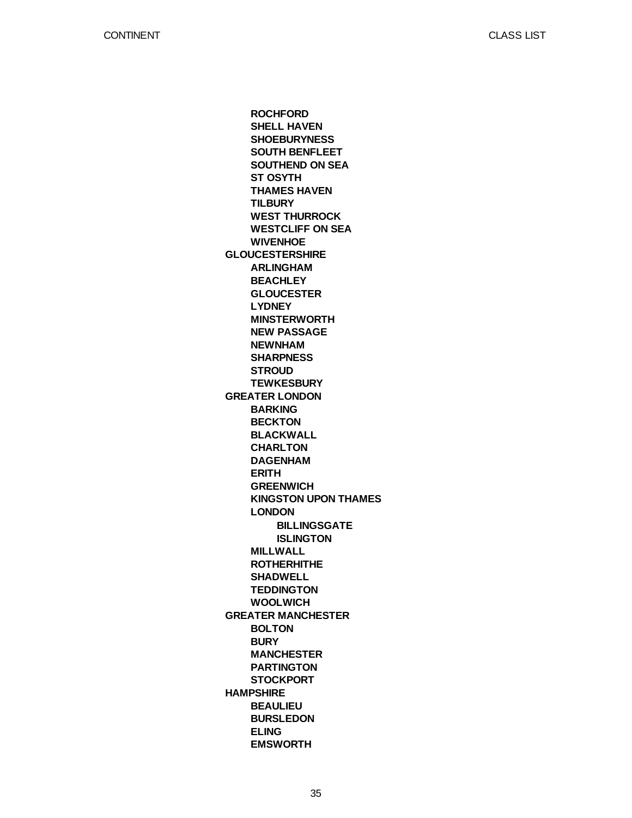CLASS LIST

**GLOUCESTERSHIRE GREATER LONDON GREATER MANCHESTER HAMPSHIRE ROCHFORD SHELL HAVEN SHOEBURYNESS SOUTH BENFLEET SOUTHEND ON SEA ST OSYTH THAMES HAVEN TILBURY WEST THURROCK WESTCLIFF ON SEA WIVENHOE ARLINGHAM BEACHLEY GLOUCESTER LYDNEY MINSTERWORTH NEW PASSAGE NEWNHAM SHARPNESS STROUD TEWKESBURY BARKING BECKTON BLACKWALL CHARLTON DAGENHAM ERITH GREENWICH KINGSTON UPON THAMES LONDON MILLWALL ROTHERHITHE SHADWELL TEDDINGTON WOOLWICH BOLTON BURY MANCHESTER PARTINGTON STOCKPORT BEAULIEU BURSLEDON ELING EMSWORTH BILLINGSGATE ISLINGTON**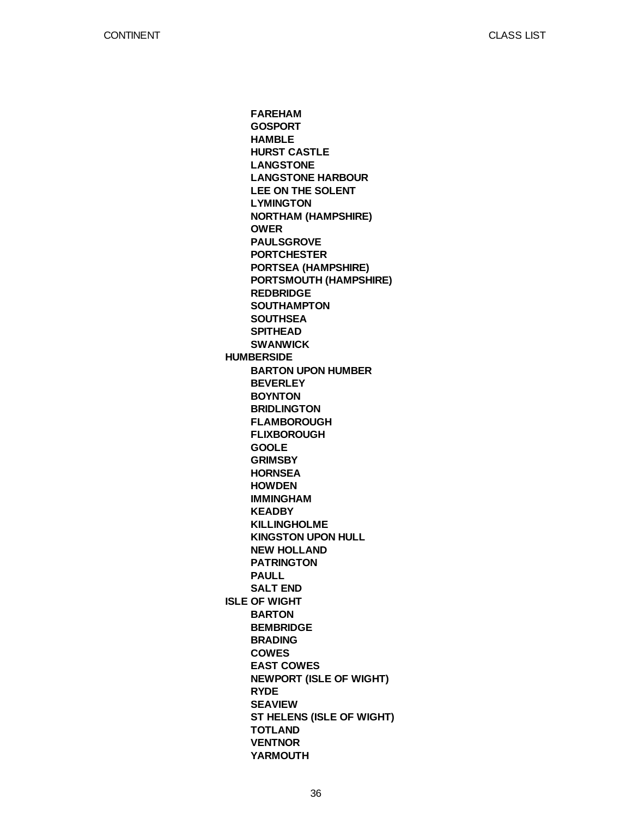CLASS LIST

**HUMBERSIDE ISLE OF WIGHT FAREHAM GOSPORT HAMBLE HURST CASTLE LANGSTONE LANGSTONE HARBOUR LEE ON THE SOLENT LYMINGTON NORTHAM (HAMPSHIRE) OWER PAULSGROVE PORTCHESTER PORTSEA (HAMPSHIRE) PORTSMOUTH (HAMPSHIRE) REDBRIDGE SOUTHAMPTON SOUTHSEA SPITHEAD SWANWICK BARTON UPON HUMBER BEVERLEY BOYNTON BRIDLINGTON FLAMBOROUGH FLIXBOROUGH GOOLE GRIMSBY HORNSEA HOWDEN IMMINGHAM KEADBY KILLINGHOLME KINGSTON UPON HULL NEW HOLLAND PATRINGTON PAULL SALT END BARTON BEMBRIDGE BRADING COWES EAST COWES NEWPORT (ISLE OF WIGHT) RYDE SEAVIEW ST HELENS (ISLE OF WIGHT) TOTLAND VENTNOR YARMOUTH**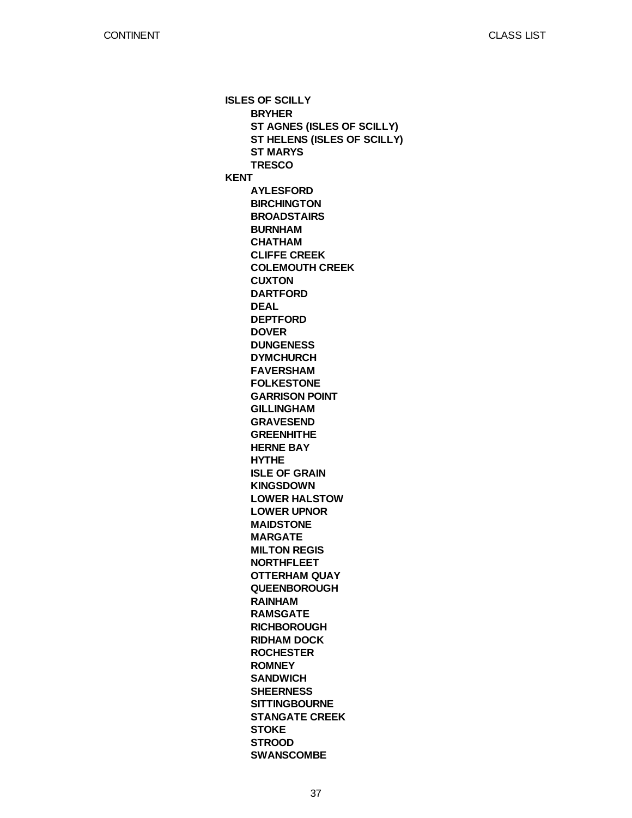**ISLES OF SCILLY KENT BRYHER ST AGNES (ISLES OF SCILLY) ST HELENS (ISLES OF SCILLY) ST MARYS TRESCO AYLESFORD BIRCHINGTON BROADSTAIRS BURNHAM CHATHAM CLIFFE CREEK COLEMOUTH CREEK CUXTON DARTFORD DEAL DEPTFORD DOVER DUNGENESS DYMCHURCH FAVERSHAM FOLKESTONE GARRISON POINT GILLINGHAM GRAVESEND GREENHITHE HERNE BAY HYTHE ISLE OF GRAIN KINGSDOWN LOWER HALSTOW LOWER UPNOR MAIDSTONE MARGATE MILTON REGIS NORTHFLEET OTTERHAM QUAY QUEENBOROUGH RAINHAM RAMSGATE RICHBOROUGH RIDHAM DOCK ROCHESTER ROMNEY SANDWICH SHEERNESS SITTINGBOURNE STANGATE CREEK STOKE STROOD SWANSCOMBE**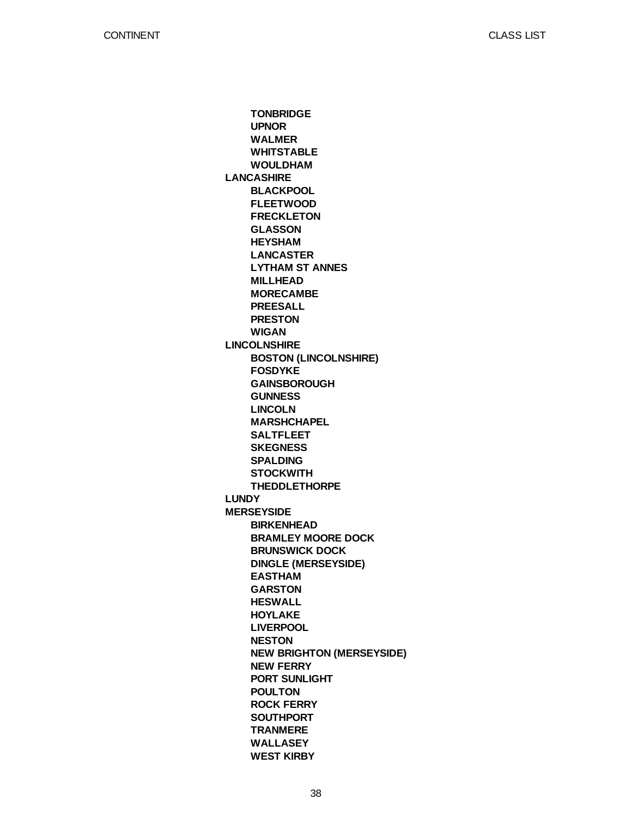**LANCASHIRE LINCOLNSHIRE LUNDY MERSEYSIDE TONBRIDGE UPNOR WALMER WHITSTABLE WOULDHAM BLACKPOOL FLEETWOOD FRECKLETON GLASSON HEYSHAM LANCASTER LYTHAM ST ANNES MILLHEAD MORECAMBE PREESALL PRESTON WIGAN BOSTON (LINCOLNSHIRE) FOSDYKE GAINSBOROUGH GUNNESS LINCOLN MARSHCHAPEL SALTFLEET SKEGNESS SPALDING STOCKWITH THEDDLETHORPE BIRKENHEAD BRAMLEY MOORE DOCK BRUNSWICK DOCK DINGLE (MERSEYSIDE) EASTHAM GARSTON HESWALL HOYLAKE LIVERPOOL NESTON NEW BRIGHTON (MERSEYSIDE) NEW FERRY PORT SUNLIGHT POULTON ROCK FERRY SOUTHPORT TRANMERE WALLASEY WEST KIRBY**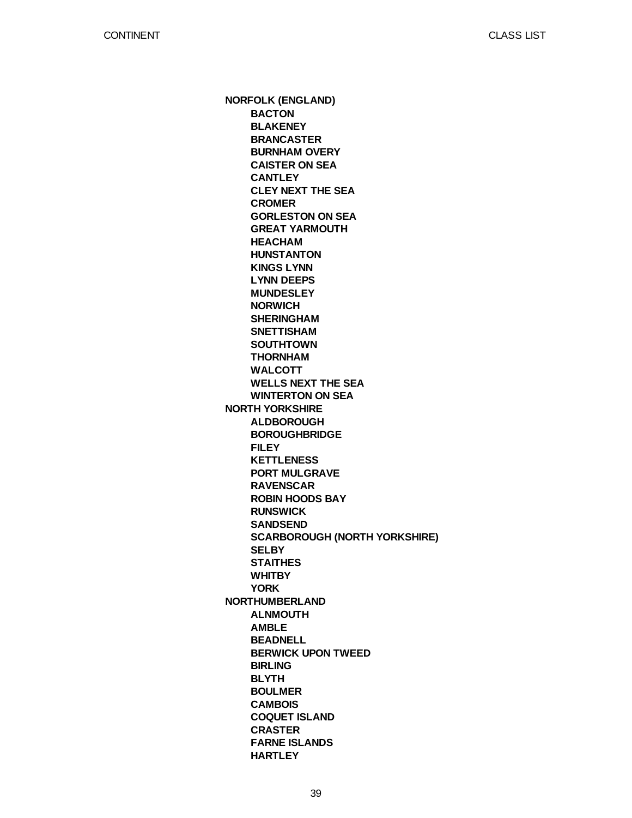**NORFOLK (ENGLAND) NORTH YORKSHIRE NORTHUMBERLAND BACTON BLAKENEY BRANCASTER BURNHAM OVERY CAISTER ON SEA CANTLEY CLEY NEXT THE SEA CROMER GORLESTON ON SEA GREAT YARMOUTH HEACHAM HUNSTANTON KINGS LYNN LYNN DEEPS MUNDESLEY NORWICH SHERINGHAM SNETTISHAM SOUTHTOWN THORNHAM WALCOTT WELLS NEXT THE SEA WINTERTON ON SEA ALDBOROUGH BOROUGHBRIDGE FILEY KETTLENESS PORT MULGRAVE RAVENSCAR ROBIN HOODS BAY RUNSWICK SANDSEND SCARBOROUGH (NORTH YORKSHIRE) SELBY STAITHES WHITBY YORK ALNMOUTH AMBLE BEADNELL BERWICK UPON TWEED BIRLING BLYTH BOULMER CAMBOIS COQUET ISLAND CRASTER FARNE ISLANDS HARTLEY**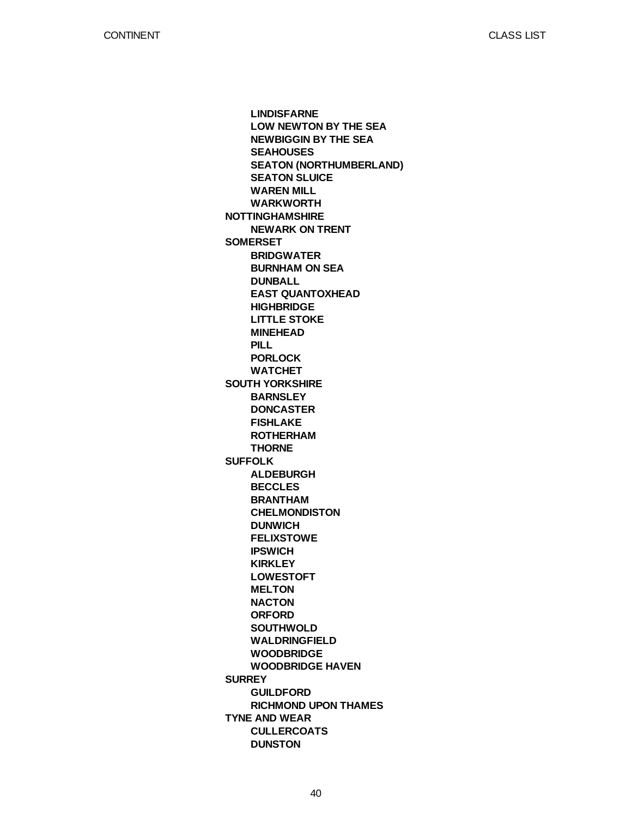CLASS LIST

**NOTTINGHAMSHIRE SOMERSET SOUTH YORKSHIRE SUFFOLK SURREY TYNE AND WEAR LINDISFARNE LOW NEWTON BY THE SEA NEWBIGGIN BY THE SEA SEAHOUSES SEATON (NORTHUMBERLAND) SEATON SLUICE WAREN MILL WARKWORTH NEWARK ON TRENT BRIDGWATER BURNHAM ON SEA DUNBALL EAST QUANTOXHEAD HIGHBRIDGE LITTLE STOKE MINEHEAD PILL PORLOCK WATCHET BARNSLEY DONCASTER FISHLAKE ROTHERHAM THORNE ALDEBURGH BECCLES BRANTHAM CHELMONDISTON DUNWICH FELIXSTOWE IPSWICH KIRKLEY LOWESTOFT MELTON NACTON ORFORD SOUTHWOLD WALDRINGFIELD WOODBRIDGE WOODBRIDGE HAVEN GUILDFORD RICHMOND UPON THAMES CULLERCOATS DUNSTON**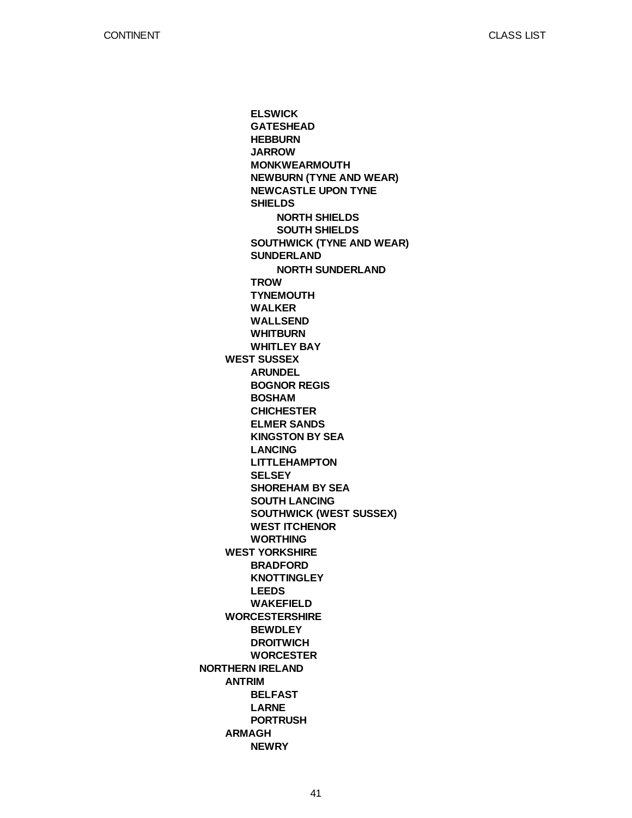**NORTHERN IRELAND WEST SUSSEX WEST YORKSHIRE WORCESTERSHIRE ANTRIM ARMAGH ELSWICK GATESHEAD HEBBURN JARROW MONKWEARMOUTH NEWBURN (TYNE AND WEAR) NEWCASTLE UPON TYNE SHIELDS SOUTHWICK (TYNE AND WEAR) SUNDERLAND TROW TYNEMOUTH WALKER WALLSEND WHITBURN WHITLEY BAY ARUNDEL BOGNOR REGIS BOSHAM CHICHESTER ELMER SANDS KINGSTON BY SEA LANCING LITTLEHAMPTON SELSEY SHOREHAM BY SEA SOUTH LANCING SOUTHWICK (WEST SUSSEX) WEST ITCHENOR WORTHING BRADFORD KNOTTINGLEY LEEDS WAKEFIELD BEWDLEY DROITWICH WORCESTER BELFAST LARNE PORTRUSH NEWRY NORTH SHIELDS SOUTH SHIELDS NORTH SUNDERLAND**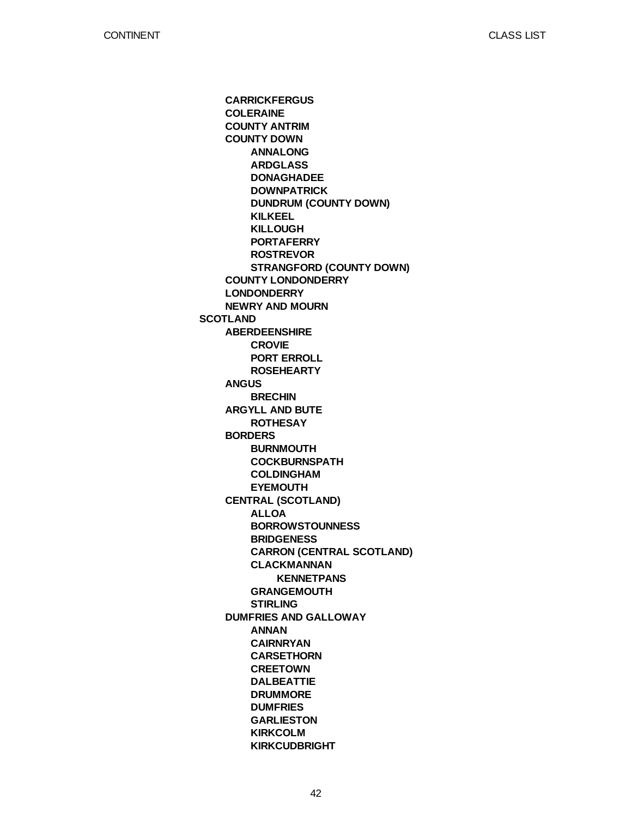**SCOTLAND CARRICKFERGUS COLERAINE COUNTY ANTRIM COUNTY DOWN COUNTY LONDONDERRY LONDONDERRY NEWRY AND MOURN ABERDEENSHIRE ANGUS ARGYLL AND BUTE BORDERS CENTRAL (SCOTLAND) DUMFRIES AND GALLOWAY ANNALONG ARDGLASS DONAGHADEE DOWNPATRICK DUNDRUM (COUNTY DOWN) KILKEEL KILLOUGH PORTAFERRY ROSTREVOR STRANGFORD (COUNTY DOWN) CROVIE PORT ERROLL ROSEHEARTY BRECHIN ROTHESAY BURNMOUTH COCKBURNSPATH COLDINGHAM EYEMOUTH ALLOA BORROWSTOUNNESS BRIDGENESS CARRON (CENTRAL SCOTLAND) CLACKMANNAN GRANGEMOUTH STIRLING ANNAN CAIRNRYAN CARSETHORN CREETOWN DALBEATTIE DRUMMORE DUMFRIES GARLIESTON KIRKCOLM KIRKCUDBRIGHT KENNETPANS**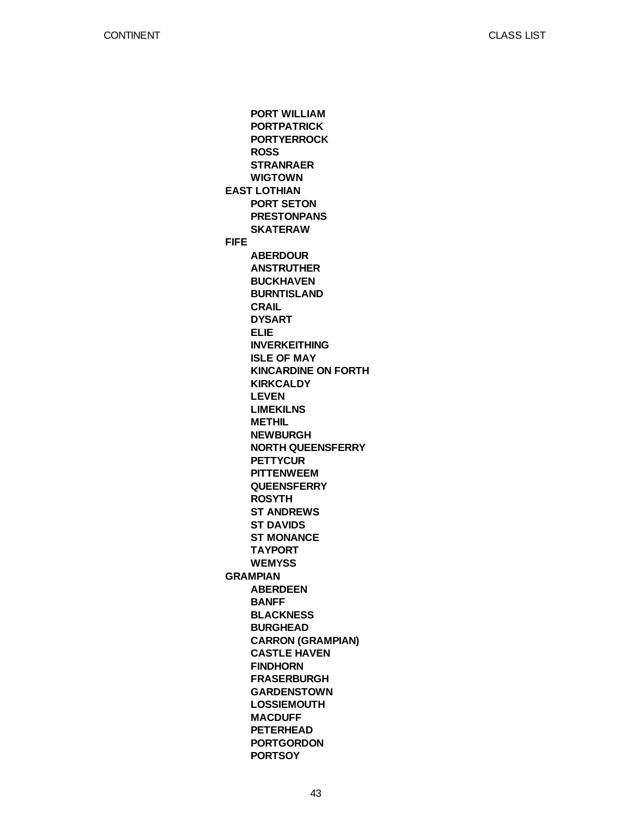**EAST LOTHIAN FIFE GRAMPIAN PORT WILLIAM PORTPATRICK PORTYERROCK ROSS STRANRAER WIGTOWN PORT SETON PRESTONPANS SKATERAW ABERDOUR ANSTRUTHER BUCKHAVEN BURNTISLAND CRAIL DYSART ELIE INVERKEITHING ISLE OF MAY KINCARDINE ON FORTH KIRKCALDY LEVEN LIMEKILNS METHIL NEWBURGH NORTH QUEENSFERRY PETTYCUR PITTENWEEM QUEENSFERRY ROSYTH ST ANDREWS ST DAVIDS ST MONANCE TAYPORT WEMYSS ABERDEEN BANFF BLACKNESS BURGHEAD CARRON (GRAMPIAN) CASTLE HAVEN FINDHORN FRASERBURGH GARDENSTOWN LOSSIEMOUTH MACDUFF PETERHEAD PORTGORDON PORTSOY**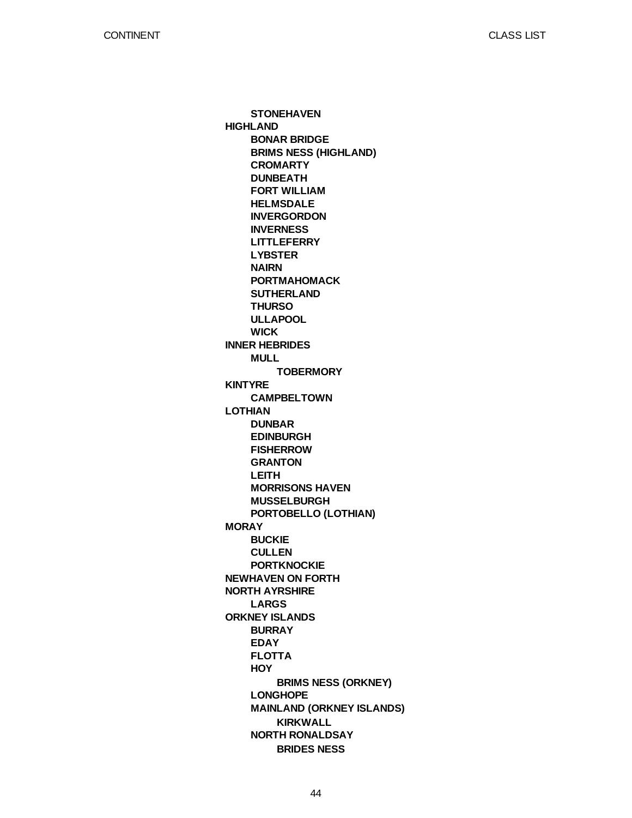**HIGHLAND INNER HEBRIDES KINTYRE LOTHIAN MORAY NEWHAVEN ON FORTH NORTH AYRSHIRE ORKNEY ISLANDS STONEHAVEN BONAR BRIDGE BRIMS NESS (HIGHLAND) CROMARTY DUNBEATH FORT WILLIAM HELMSDALE INVERGORDON INVERNESS LITTLEFERRY LYBSTER NAIRN PORTMAHOMACK SUTHERLAND THURSO ULLAPOOL WICK MULL CAMPBELTOWN DUNBAR EDINBURGH FISHERROW GRANTON LEITH MORRISONS HAVEN MUSSELBURGH PORTOBELLO (LOTHIAN) BUCKIE CULLEN PORTKNOCKIE LARGS BURRAY EDAY FLOTTA HOY LONGHOPE MAINLAND (ORKNEY ISLANDS) NORTH RONALDSAY TOBERMORY BRIMS NESS (ORKNEY) KIRKWALL BRIDES NESS**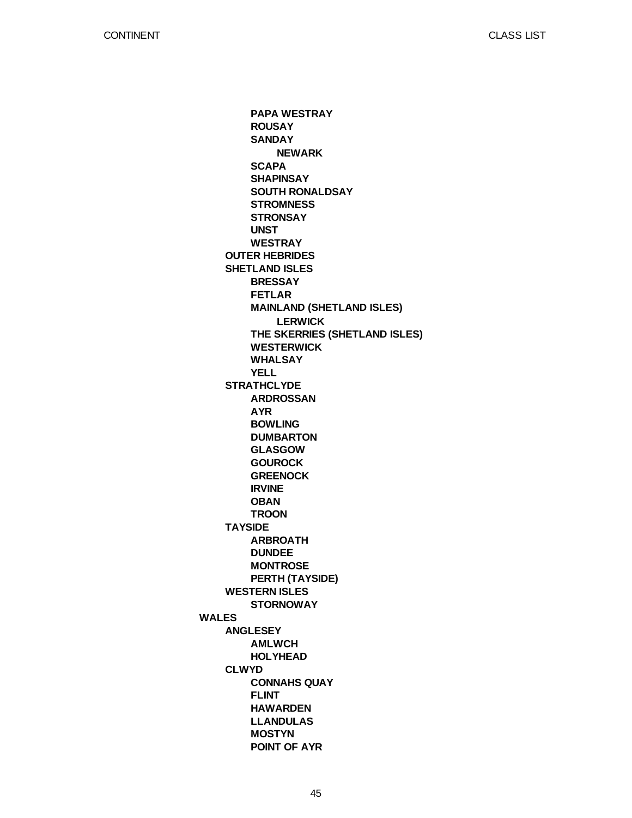CLASS LIST

**WALES OUTER HEBRIDES SHETLAND ISLES STRATHCLYDE TAYSIDE WESTERN ISLES ANGLESEY CLWYD PAPA WESTRAY ROUSAY SANDAY SCAPA SHAPINSAY SOUTH RONALDSAY STROMNESS STRONSAY UNST WESTRAY BRESSAY FETLAR MAINLAND (SHETLAND ISLES) THE SKERRIES (SHETLAND ISLES) WESTERWICK WHALSAY YELL ARDROSSAN AYR BOWLING DUMBARTON GLASGOW GOUROCK GREENOCK IRVINE OBAN TROON ARBROATH DUNDEE MONTROSE PERTH (TAYSIDE) STORNOWAY AMLWCH HOLYHEAD CONNAHS QUAY FLINT HAWARDEN LLANDULAS MOSTYN POINT OF AYR NEWARK LERWICK**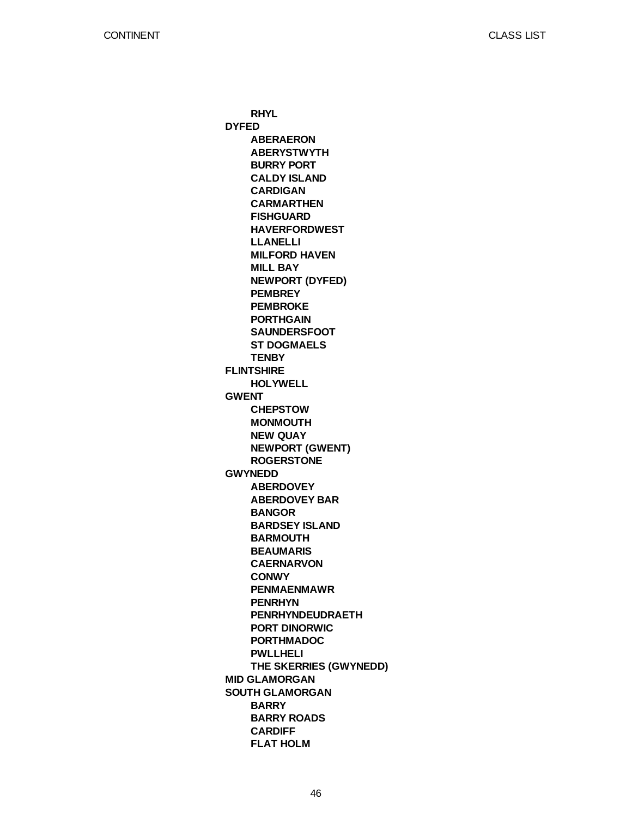**DYFED FLINTSHIRE GWENT GWYNEDD MID GLAMORGAN SOUTH GLAMORGAN RHYL ABERAERON ABERYSTWYTH BURRY PORT CALDY ISLAND CARDIGAN CARMARTHEN FISHGUARD HAVERFORDWEST LLANELLI MILFORD HAVEN MILL BAY NEWPORT (DYFED) PEMBREY PEMBROKE PORTHGAIN SAUNDERSFOOT ST DOGMAELS TENBY HOLYWELL CHEPSTOW MONMOUTH NEW QUAY NEWPORT (GWENT) ROGERSTONE ABERDOVEY ABERDOVEY BAR BANGOR BARDSEY ISLAND BARMOUTH BEAUMARIS CAERNARVON CONWY PENMAENMAWR PENRHYN PENRHYNDEUDRAETH PORT DINORWIC PORTHMADOC PWLLHELI THE SKERRIES (GWYNEDD) BARRY BARRY ROADS CARDIFF FLAT HOLM**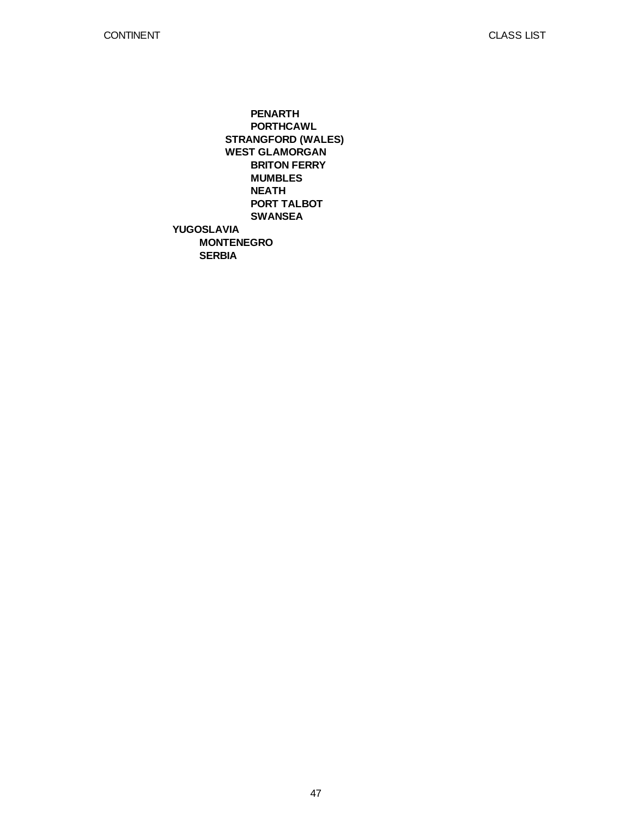**YUGOSLAVIA MONTENEGRO SERBIA STRANGFORD (WALES) WEST GLAMORGAN PENARTH PORTHCAWL BRITON FERRY MUMBLES NEATH PORT TALBOT SWANSEA**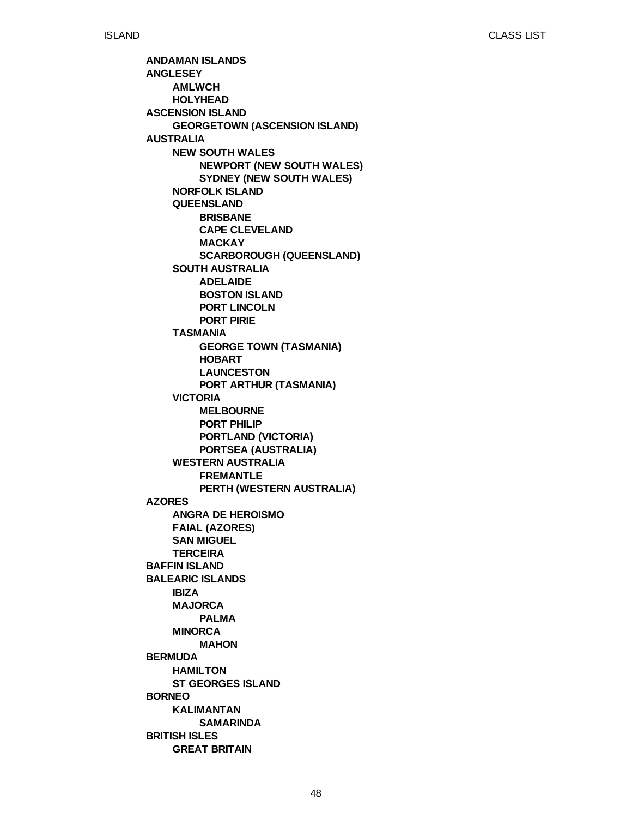**ANDAMAN ISLANDS ANGLESEY ASCENSION ISLAND AUSTRALIA AZORES BAFFIN ISLAND BALEARIC ISLANDS BERMUDA BORNEO BRITISH ISLES AMLWCH HOLYHEAD GEORGETOWN (ASCENSION ISLAND) NEW SOUTH WALES NORFOLK ISLAND QUEENSLAND SOUTH AUSTRALIA TASMANIA VICTORIA WESTERN AUSTRALIA ANGRA DE HEROISMO FAIAL (AZORES) SAN MIGUEL TERCEIRA IBIZA MAJORCA MINORCA HAMILTON ST GEORGES ISLAND KALIMANTAN GREAT BRITAIN NEWPORT (NEW SOUTH WALES) SYDNEY (NEW SOUTH WALES) BRISBANE CAPE CLEVELAND MACKAY SCARBOROUGH (QUEENSLAND) ADELAIDE BOSTON ISLAND PORT LINCOLN PORT PIRIE GEORGE TOWN (TASMANIA) HOBART LAUNCESTON PORT ARTHUR (TASMANIA) MELBOURNE PORT PHILIP PORTLAND (VICTORIA) PORTSEA (AUSTRALIA) FREMANTLE PERTH (WESTERN AUSTRALIA) PALMA MAHON SAMARINDA**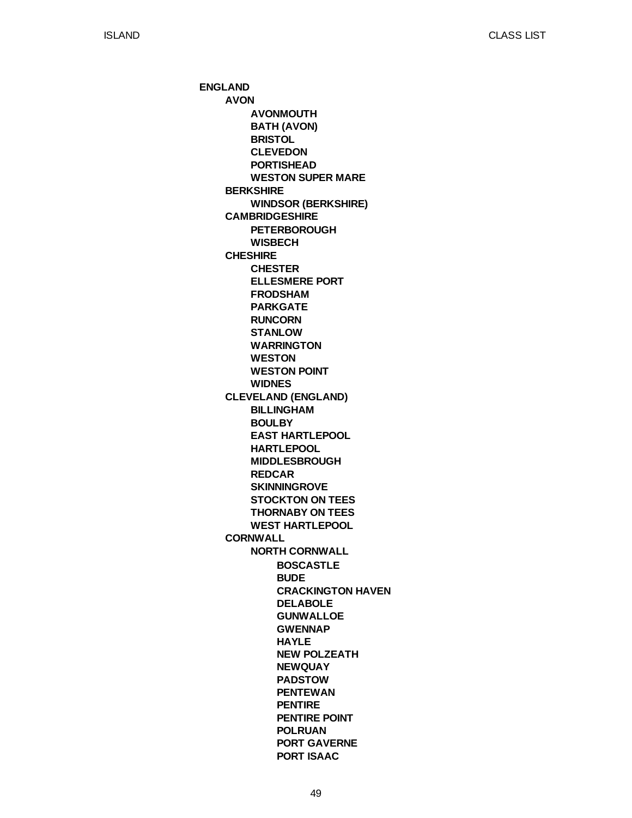**ENGLAND AVON BERKSHIRE CAMBRIDGESHIRE CHESHIRE CLEVELAND (ENGLAND) CORNWALL AVONMOUTH BATH (AVON) BRISTOL CLEVEDON PORTISHEAD WESTON SUPER MARE WINDSOR (BERKSHIRE) PETERBOROUGH WISBECH CHESTER ELLESMERE PORT FRODSHAM PARKGATE RUNCORN STANLOW WARRINGTON WESTON WESTON POINT WIDNES BILLINGHAM BOULBY EAST HARTLEPOOL HARTLEPOOL MIDDLESBROUGH REDCAR SKINNINGROVE STOCKTON ON TEES THORNABY ON TEES WEST HARTLEPOOL NORTH CORNWALL BOSCASTLE BUDE CRACKINGTON HAVEN DELABOLE GUNWALLOE GWENNAP HAYLE NEW POLZEATH NEWQUAY PADSTOW PENTEWAN PENTIRE PENTIRE POINT POLRUAN PORT GAVERNE PORT ISAAC**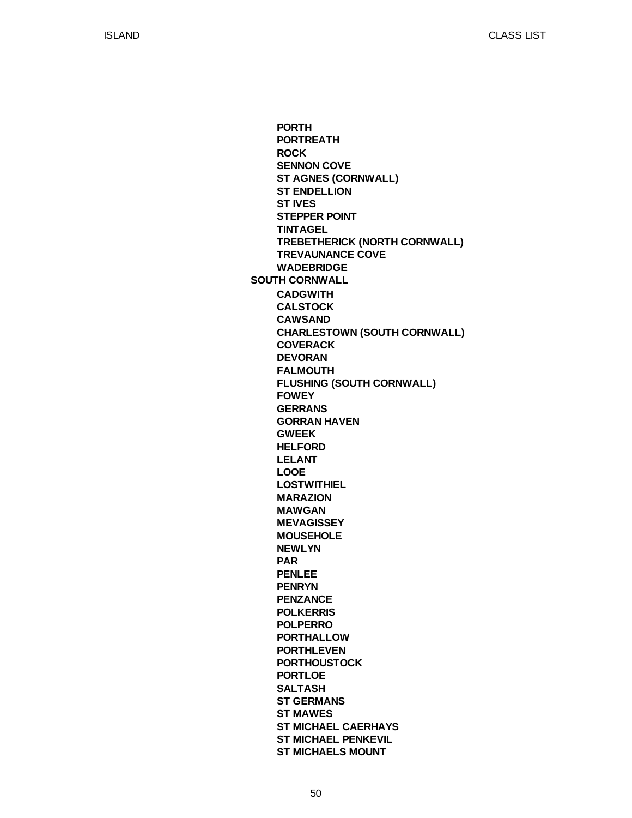**SOUTH CORNWALL PORTH PORTREATH ROCK SENNON COVE ST AGNES (CORNWALL) ST ENDELLION ST IVES STEPPER POINT TINTAGEL TREBETHERICK (NORTH CORNWALL) TREVAUNANCE COVE WADEBRIDGE CADGWITH CALSTOCK CAWSAND CHARLESTOWN (SOUTH CORNWALL) COVERACK DEVORAN FALMOUTH FLUSHING (SOUTH CORNWALL) FOWEY GERRANS GORRAN HAVEN GWEEK HELFORD LELANT LOOE LOSTWITHIEL MARAZION MAWGAN MEVAGISSEY MOUSEHOLE NEWLYN PAR PENLEE PENRYN PENZANCE POLKERRIS POLPERRO PORTHALLOW PORTHLEVEN PORTHOUSTOCK PORTLOE SALTASH ST GERMANS ST MAWES ST MICHAEL CAERHAYS ST MICHAEL PENKEVIL ST MICHAELS MOUNT**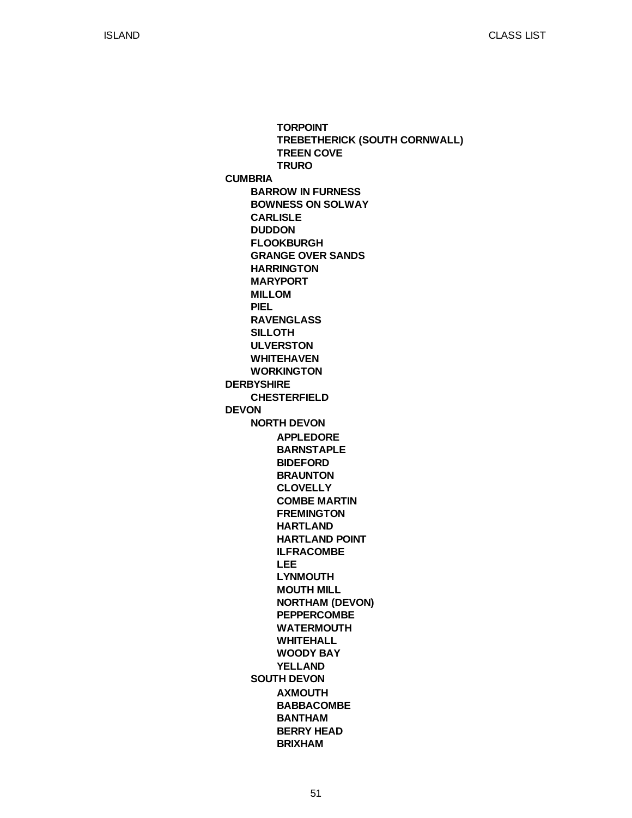**CUMBRIA DERBYSHIRE DEVON BARROW IN FURNESS BOWNESS ON SOLWAY CARLISLE DUDDON FLOOKBURGH GRANGE OVER SANDS HARRINGTON MARYPORT MILLOM PIEL RAVENGLASS SILLOTH ULVERSTON WHITEHAVEN WORKINGTON CHESTERFIELD NORTH DEVON SOUTH DEVON TORPOINT TREBETHERICK (SOUTH CORNWALL) TREEN COVE TRURO APPLEDORE BARNSTAPLE BIDEFORD BRAUNTON CLOVELLY COMBE MARTIN FREMINGTON HARTLAND HARTLAND POINT ILFRACOMBE LEE LYNMOUTH MOUTH MILL NORTHAM (DEVON) PEPPERCOMBE WATERMOUTH WHITEHALL WOODY BAY YELLAND AXMOUTH BABBACOMBE BANTHAM BERRY HEAD BRIXHAM**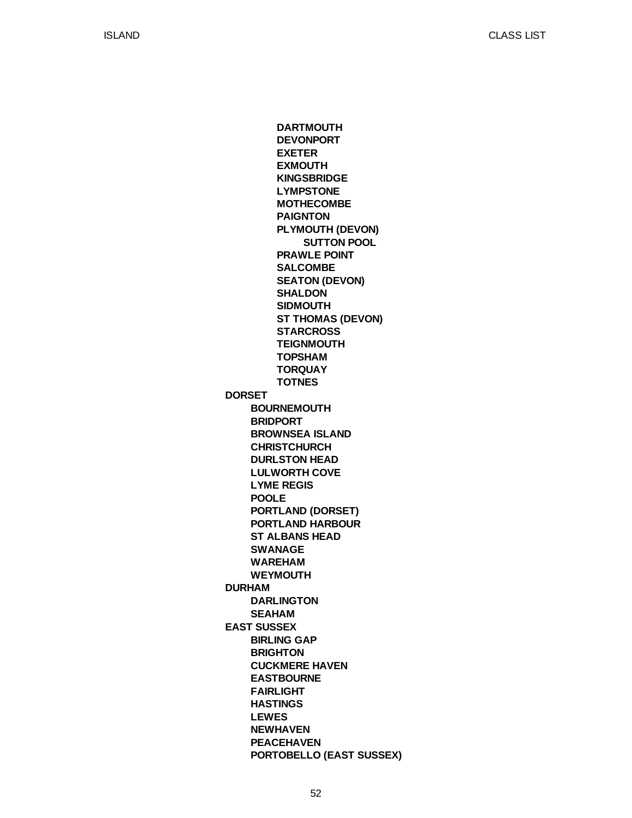**DORSET DURHAM EAST SUSSEX BOURNEMOUTH BRIDPORT BROWNSEA ISLAND CHRISTCHURCH DURLSTON HEAD LULWORTH COVE LYME REGIS POOLE PORTLAND (DORSET) PORTLAND HARBOUR ST ALBANS HEAD SWANAGE WAREHAM WEYMOUTH DARLINGTON SEAHAM BIRLING GAP BRIGHTON CUCKMERE HAVEN EASTBOURNE FAIRLIGHT HASTINGS LEWES NEWHAVEN PEACEHAVEN PORTOBELLO (EAST SUSSEX) DARTMOUTH DEVONPORT EXETER EXMOUTH KINGSBRIDGE LYMPSTONE MOTHECOMBE PAIGNTON PLYMOUTH (DEVON) PRAWLE POINT SALCOMBE SEATON (DEVON) SHALDON SIDMOUTH ST THOMAS (DEVON) STARCROSS TEIGNMOUTH TOPSHAM TORQUAY TOTNES SUTTON POOL**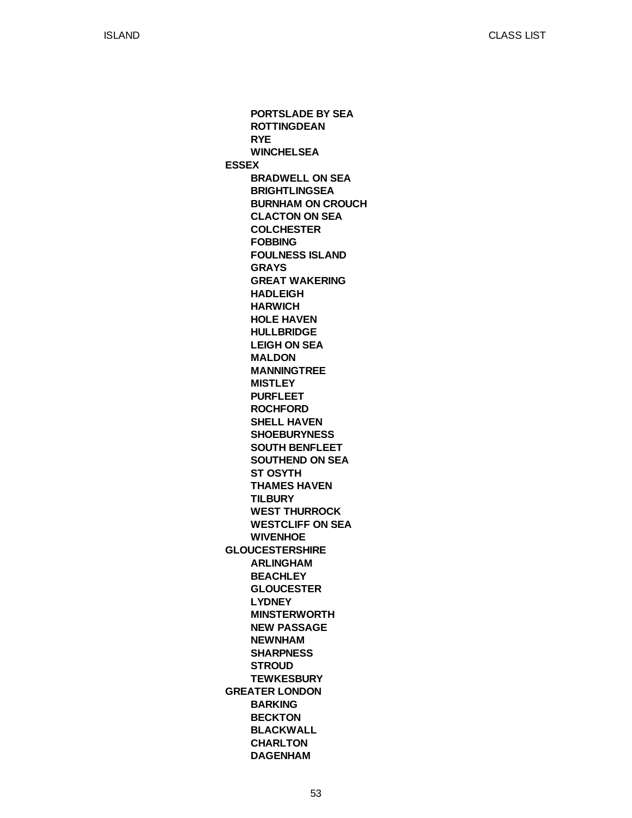**ESSEX GLOUCESTERSHIRE GREATER LONDON PORTSLADE BY SEA ROTTINGDEAN RYE WINCHELSEA BRADWELL ON SEA BRIGHTLINGSEA BURNHAM ON CROUCH CLACTON ON SEA COLCHESTER FOBBING FOULNESS ISLAND GRAYS GREAT WAKERING HADLEIGH HARWICH HOLE HAVEN HULLBRIDGE LEIGH ON SEA MALDON MANNINGTREE MISTLEY PURFLEET ROCHFORD SHELL HAVEN SHOEBURYNESS SOUTH BENFLEET SOUTHEND ON SEA ST OSYTH THAMES HAVEN TILBURY WEST THURROCK WESTCLIFF ON SEA WIVENHOE ARLINGHAM BEACHLEY GLOUCESTER LYDNEY MINSTERWORTH NEW PASSAGE NEWNHAM SHARPNESS STROUD TEWKESBURY BARKING BECKTON BLACKWALL CHARLTON DAGENHAM**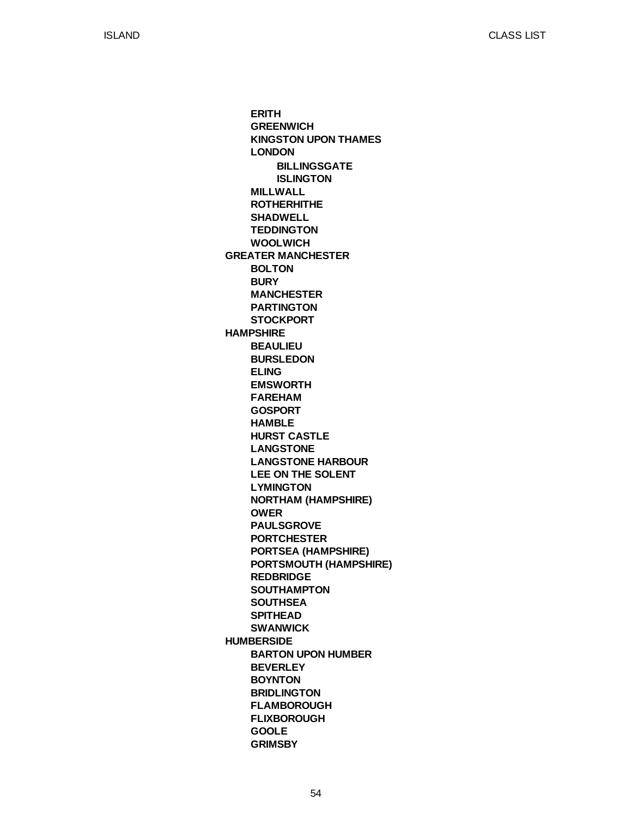**GREATER MANCHESTER HAMPSHIRE HUMBERSIDE ERITH GREENWICH KINGSTON UPON THAMES LONDON MILLWALL ROTHERHITHE SHADWELL TEDDINGTON WOOLWICH BOLTON BURY MANCHESTER PARTINGTON STOCKPORT BEAULIEU BURSLEDON ELING EMSWORTH FAREHAM GOSPORT HAMBLE HURST CASTLE LANGSTONE LANGSTONE HARBOUR LEE ON THE SOLENT LYMINGTON NORTHAM (HAMPSHIRE) OWER PAULSGROVE PORTCHESTER PORTSEA (HAMPSHIRE) PORTSMOUTH (HAMPSHIRE) REDBRIDGE SOUTHAMPTON SOUTHSEA SPITHEAD SWANWICK BARTON UPON HUMBER BEVERLEY BOYNTON BRIDLINGTON FLAMBOROUGH FLIXBOROUGH GOOLE GRIMSBY BILLINGSGATE ISLINGTON**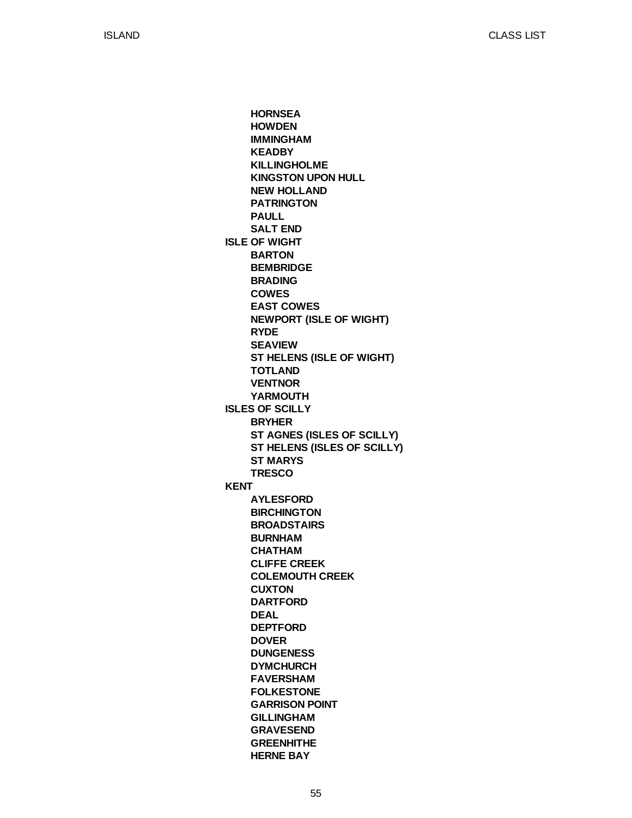**ISLE OF WIGHT ISLES OF SCILLY KENT HORNSEA HOWDEN IMMINGHAM KEADBY KILLINGHOLME KINGSTON UPON HULL NEW HOLLAND PATRINGTON PAULL SALT END BARTON BEMBRIDGE BRADING COWES EAST COWES NEWPORT (ISLE OF WIGHT) RYDE SEAVIEW ST HELENS (ISLE OF WIGHT) TOTLAND VENTNOR YARMOUTH BRYHER ST AGNES (ISLES OF SCILLY) ST HELENS (ISLES OF SCILLY) ST MARYS TRESCO AYLESFORD BIRCHINGTON BROADSTAIRS BURNHAM CHATHAM CLIFFE CREEK COLEMOUTH CREEK CUXTON DARTFORD DEAL DEPTFORD DOVER DUNGENESS DYMCHURCH FAVERSHAM FOLKESTONE GARRISON POINT GILLINGHAM GRAVESEND GREENHITHE HERNE BAY**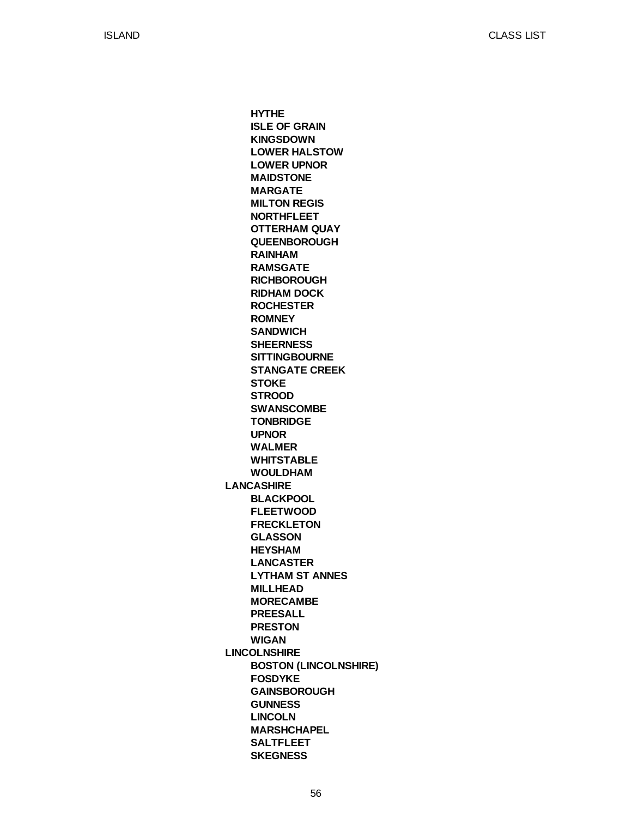**LANCASHIRE LINCOLNSHIRE HYTHE ISLE OF GRAIN KINGSDOWN LOWER HALSTOW LOWER UPNOR MAIDSTONE MARGATE MILTON REGIS NORTHFLEET OTTERHAM QUAY QUEENBOROUGH RAINHAM RAMSGATE RICHBOROUGH RIDHAM DOCK ROCHESTER ROMNEY SANDWICH SHEERNESS SITTINGBOURNE STANGATE CREEK STOKE STROOD SWANSCOMBE TONBRIDGE UPNOR WALMER WHITSTABLE WOULDHAM BLACKPOOL FLEETWOOD FRECKLETON GLASSON HEYSHAM LANCASTER LYTHAM ST ANNES MILLHEAD MORECAMBE PREESALL PRESTON WIGAN BOSTON (LINCOLNSHIRE) FOSDYKE GAINSBOROUGH GUNNESS LINCOLN MARSHCHAPEL SALTFLEET SKEGNESS**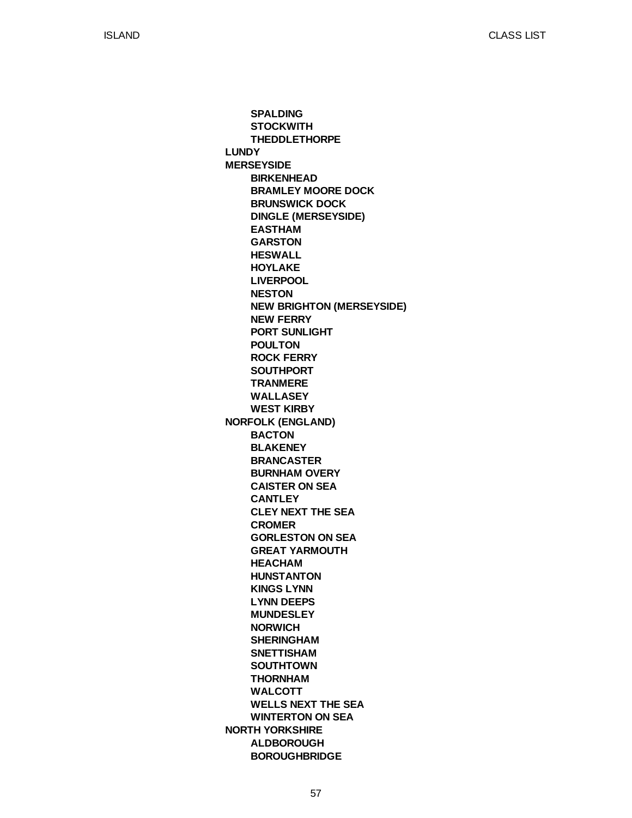**LUNDY MERSEYSIDE NORFOLK (ENGLAND) NORTH YORKSHIRE SPALDING STOCKWITH THEDDLETHORPE BIRKENHEAD BRAMLEY MOORE DOCK BRUNSWICK DOCK DINGLE (MERSEYSIDE) EASTHAM GARSTON HESWALL HOYLAKE LIVERPOOL NESTON NEW BRIGHTON (MERSEYSIDE) NEW FERRY PORT SUNLIGHT POULTON ROCK FERRY SOUTHPORT TRANMERE WALLASEY WEST KIRBY BACTON BLAKENEY BRANCASTER BURNHAM OVERY CAISTER ON SEA CANTLEY CLEY NEXT THE SEA CROMER GORLESTON ON SEA GREAT YARMOUTH HEACHAM HUNSTANTON KINGS LYNN LYNN DEEPS MUNDESLEY NORWICH SHERINGHAM SNETTISHAM SOUTHTOWN THORNHAM WALCOTT WELLS NEXT THE SEA WINTERTON ON SEA ALDBOROUGH BOROUGHBRIDGE**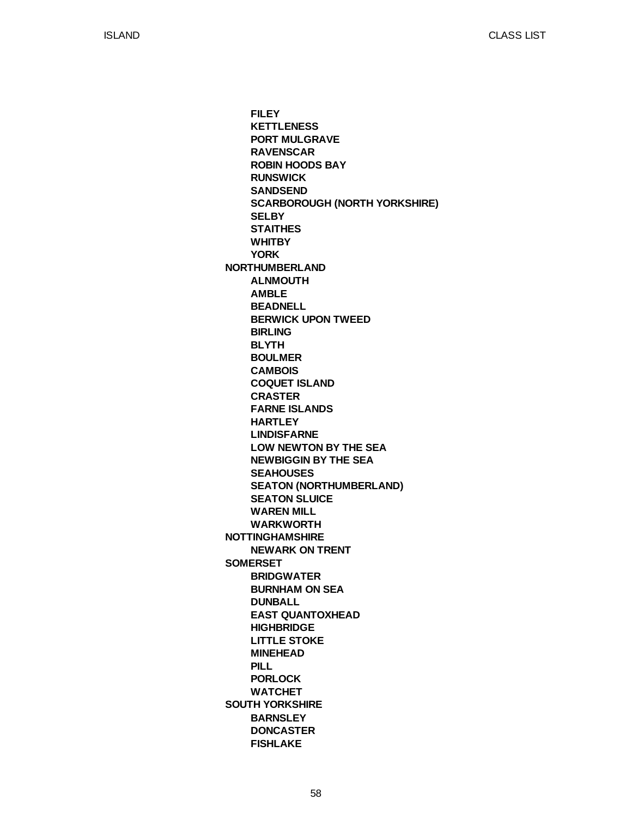**NORTHUMBERLAND NOTTINGHAMSHIRE SOMERSET SOUTH YORKSHIRE FILEY KETTLENESS PORT MULGRAVE RAVENSCAR ROBIN HOODS BAY RUNSWICK SANDSEND SCARBOROUGH (NORTH YORKSHIRE) SELBY STAITHES WHITBY YORK ALNMOUTH AMBLE BEADNELL BERWICK UPON TWEED BIRLING BLYTH BOULMER CAMBOIS COQUET ISLAND CRASTER FARNE ISLANDS HARTLEY LINDISFARNE LOW NEWTON BY THE SEA NEWBIGGIN BY THE SEA SEAHOUSES SEATON (NORTHUMBERLAND) SEATON SLUICE WAREN MILL WARKWORTH NEWARK ON TRENT BRIDGWATER BURNHAM ON SEA DUNBALL EAST QUANTOXHEAD HIGHBRIDGE LITTLE STOKE MINEHEAD PILL PORLOCK WATCHET BARNSLEY DONCASTER FISHLAKE**

58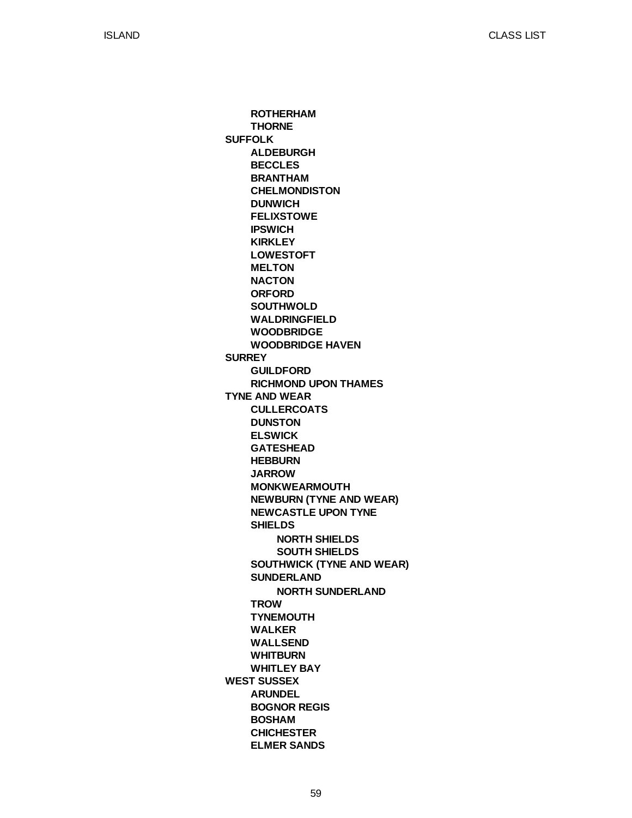**SUFFOLK SURREY TYNE AND WEAR WEST SUSSEX ROTHERHAM THORNE ALDEBURGH BECCLES BRANTHAM CHELMONDISTON DUNWICH FELIXSTOWE IPSWICH KIRKLEY LOWESTOFT MELTON NACTON ORFORD SOUTHWOLD WALDRINGFIELD WOODBRIDGE WOODBRIDGE HAVEN GUILDFORD RICHMOND UPON THAMES CULLERCOATS DUNSTON ELSWICK GATESHEAD HEBBURN JARROW MONKWEARMOUTH NEWBURN (TYNE AND WEAR) NEWCASTLE UPON TYNE SHIELDS SOUTHWICK (TYNE AND WEAR) SUNDERLAND TROW TYNEMOUTH WALKER WALLSEND WHITBURN WHITLEY BAY ARUNDEL BOGNOR REGIS BOSHAM CHICHESTER ELMER SANDS NORTH SHIELDS SOUTH SHIELDS NORTH SUNDERLAND**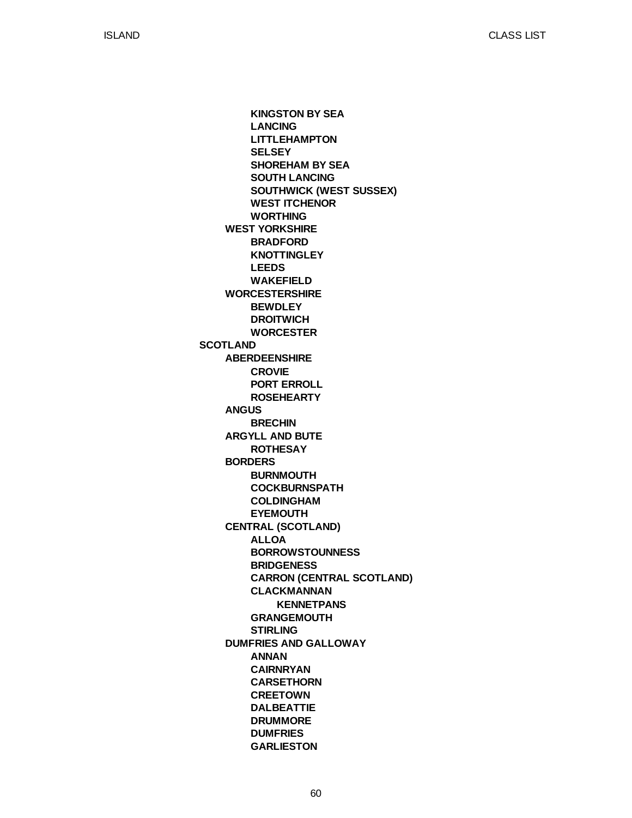**SCOTLAND WEST YORKSHIRE WORCESTERSHIRE ABERDEENSHIRE ANGUS ARGYLL AND BUTE BORDERS CENTRAL (SCOTLAND) DUMFRIES AND GALLOWAY KINGSTON BY SEA LANCING LITTLEHAMPTON SELSEY SHOREHAM BY SEA SOUTH LANCING SOUTHWICK (WEST SUSSEX) WEST ITCHENOR WORTHING BRADFORD KNOTTINGLEY LEEDS WAKEFIELD BEWDLEY DROITWICH WORCESTER CROVIE PORT ERROLL ROSEHEARTY BRECHIN ROTHESAY BURNMOUTH COCKBURNSPATH COLDINGHAM EYEMOUTH ALLOA BORROWSTOUNNESS BRIDGENESS CARRON (CENTRAL SCOTLAND) CLACKMANNAN GRANGEMOUTH STIRLING ANNAN CAIRNRYAN CARSETHORN CREETOWN DALBEATTIE DRUMMORE DUMFRIES GARLIESTON KENNETPANS**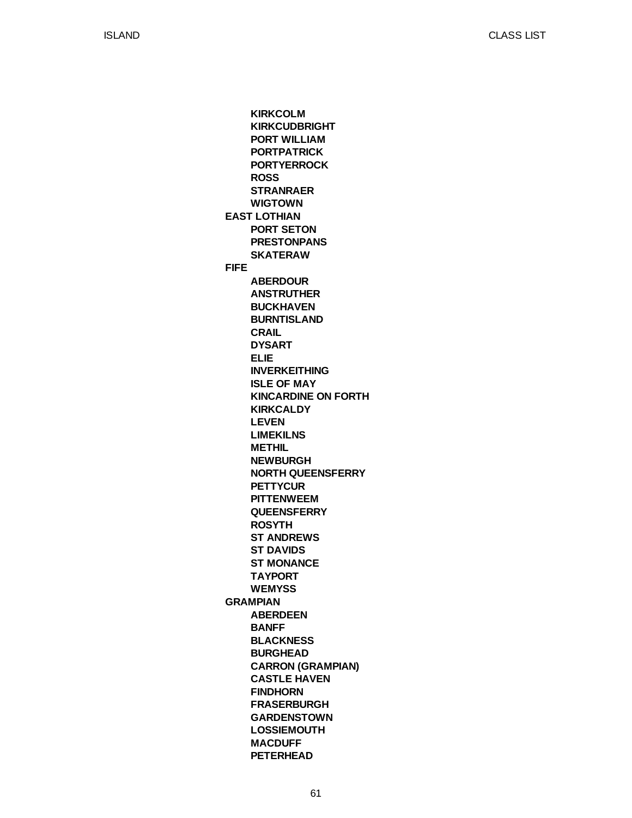**EAST LOTHIAN FIFE GRAMPIAN KIRKCOLM KIRKCUDBRIGHT PORT WILLIAM PORTPATRICK PORTYERROCK ROSS STRANRAER WIGTOWN PORT SETON PRESTONPANS SKATERAW ABERDOUR ANSTRUTHER BUCKHAVEN BURNTISLAND CRAIL DYSART ELIE INVERKEITHING ISLE OF MAY KINCARDINE ON FORTH KIRKCALDY LEVEN LIMEKILNS METHIL NEWBURGH NORTH QUEENSFERRY PETTYCUR PITTENWEEM QUEENSFERRY ROSYTH ST ANDREWS ST DAVIDS ST MONANCE TAYPORT WEMYSS ABERDEEN BANFF BLACKNESS BURGHEAD CARRON (GRAMPIAN) CASTLE HAVEN FINDHORN FRASERBURGH GARDENSTOWN LOSSIEMOUTH MACDUFF PETERHEAD**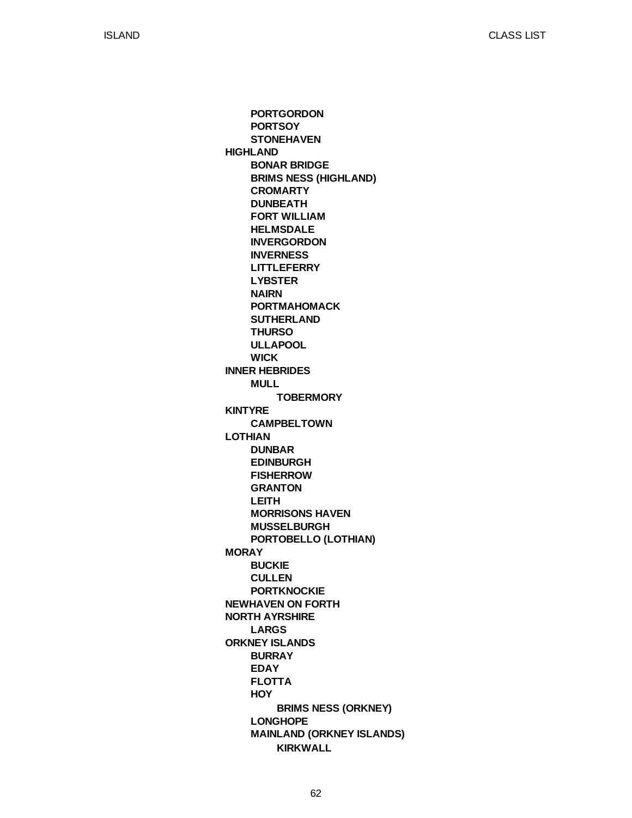**HIGHLAND INNER HEBRIDES KINTYRE LOTHIAN MORAY NEWHAVEN ON FORTH NORTH AYRSHIRE ORKNEY ISLANDS PORTGORDON PORTSOY STONEHAVEN BONAR BRIDGE BRIMS NESS (HIGHLAND) CROMARTY DUNBEATH FORT WILLIAM HELMSDALE INVERGORDON INVERNESS LITTLEFERRY LYBSTER NAIRN PORTMAHOMACK SUTHERLAND THURSO ULLAPOOL WICK MULL CAMPBELTOWN DUNBAR EDINBURGH FISHERROW GRANTON LEITH MORRISONS HAVEN MUSSELBURGH PORTOBELLO (LOTHIAN) BUCKIE CULLEN PORTKNOCKIE LARGS BURRAY EDAY FLOTTA HOY LONGHOPE MAINLAND (ORKNEY ISLANDS) TOBERMORY BRIMS NESS (ORKNEY) KIRKWALL**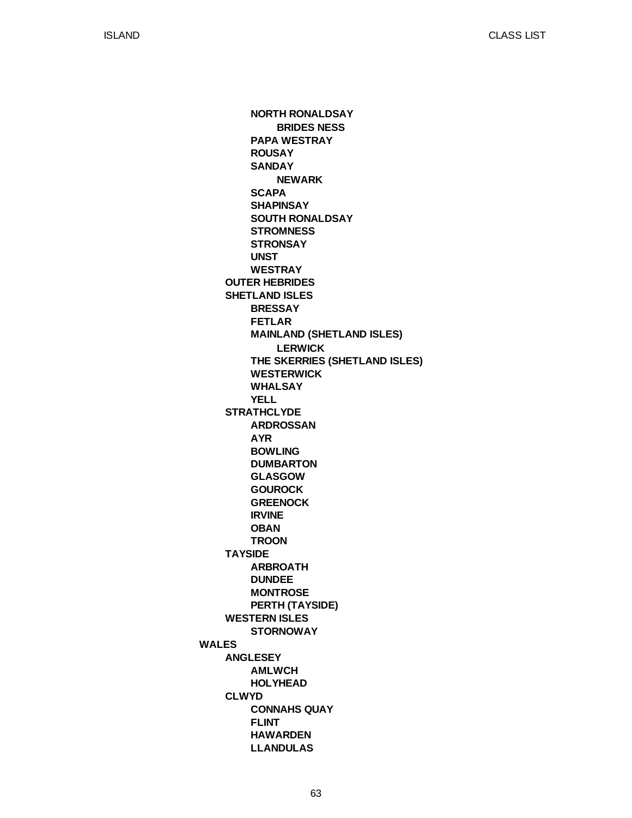**WALES OUTER HEBRIDES SHETLAND ISLES STRATHCLYDE TAYSIDE WESTERN ISLES ANGLESEY CLWYD NORTH RONALDSAY PAPA WESTRAY ROUSAY SANDAY SCAPA SHAPINSAY SOUTH RONALDSAY STROMNESS STRONSAY UNST WESTRAY BRESSAY FETLAR MAINLAND (SHETLAND ISLES) THE SKERRIES (SHETLAND ISLES) WESTERWICK WHALSAY YELL ARDROSSAN AYR BOWLING DUMBARTON GLASGOW GOUROCK GREENOCK IRVINE OBAN TROON ARBROATH DUNDEE MONTROSE PERTH (TAYSIDE) STORNOWAY AMLWCH HOLYHEAD CONNAHS QUAY FLINT HAWARDEN LLANDULAS BRIDES NESS NEWARK LERWICK**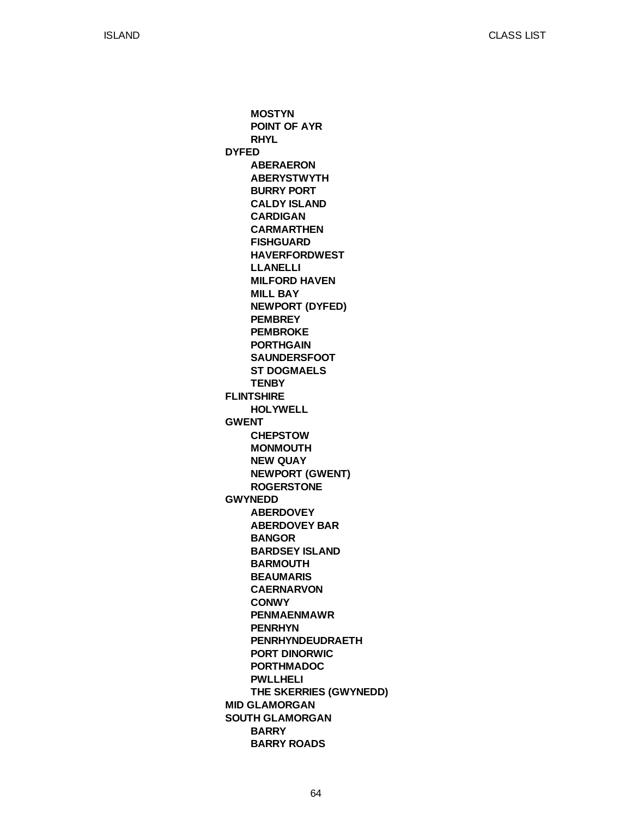**DYFED FLINTSHIRE GWENT GWYNEDD MID GLAMORGAN SOUTH GLAMORGAN MOSTYN POINT OF AYR RHYL ABERAERON ABERYSTWYTH BURRY PORT CALDY ISLAND CARDIGAN CARMARTHEN FISHGUARD HAVERFORDWEST LLANELLI MILFORD HAVEN MILL BAY NEWPORT (DYFED) PEMBREY PEMBROKE PORTHGAIN SAUNDERSFOOT ST DOGMAELS TENBY HOLYWELL CHEPSTOW MONMOUTH NEW QUAY NEWPORT (GWENT) ROGERSTONE ABERDOVEY ABERDOVEY BAR BANGOR BARDSEY ISLAND BARMOUTH BEAUMARIS CAERNARVON CONWY PENMAENMAWR PENRHYN PENRHYNDEUDRAETH PORT DINORWIC PORTHMADOC PWLLHELI THE SKERRIES (GWYNEDD) BARRY BARRY ROADS**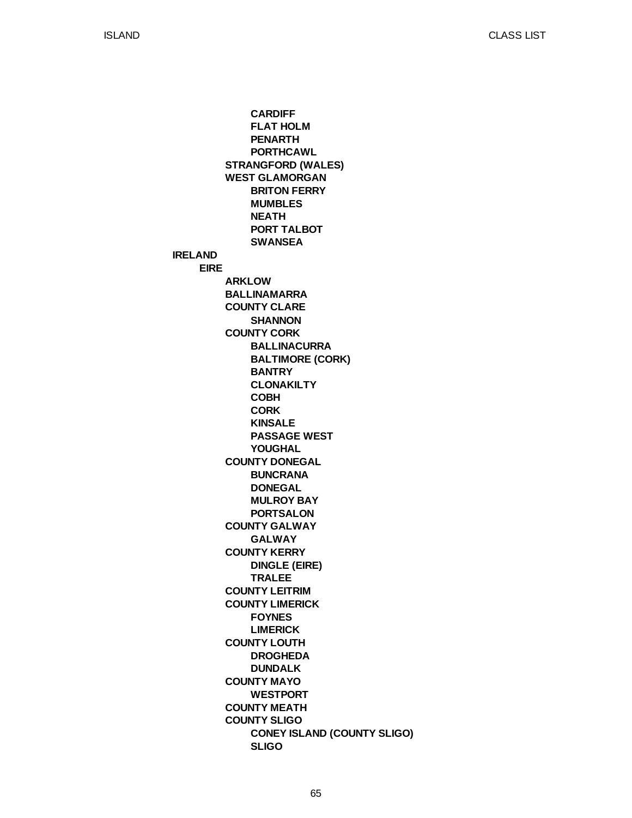**IRELAND EIRE STRANGFORD (WALES) WEST GLAMORGAN ARKLOW BALLINAMARRA COUNTY CLARE COUNTY CORK COUNTY DONEGAL COUNTY GALWAY COUNTY KERRY COUNTY LEITRIM COUNTY LIMERICK COUNTY LOUTH COUNTY MAYO COUNTY MEATH COUNTY SLIGO CARDIFF FLAT HOLM PENARTH PORTHCAWL BRITON FERRY MUMBLES NEATH PORT TALBOT SWANSEA SHANNON BALLINACURRA BALTIMORE (CORK) BANTRY CLONAKILTY COBH CORK KINSALE PASSAGE WEST YOUGHAL BUNCRANA DONEGAL MULROY BAY PORTSALON GALWAY DINGLE (EIRE) TRALEE FOYNES LIMERICK DROGHEDA DUNDALK WESTPORT CONEY ISLAND (COUNTY SLIGO) SLIGO**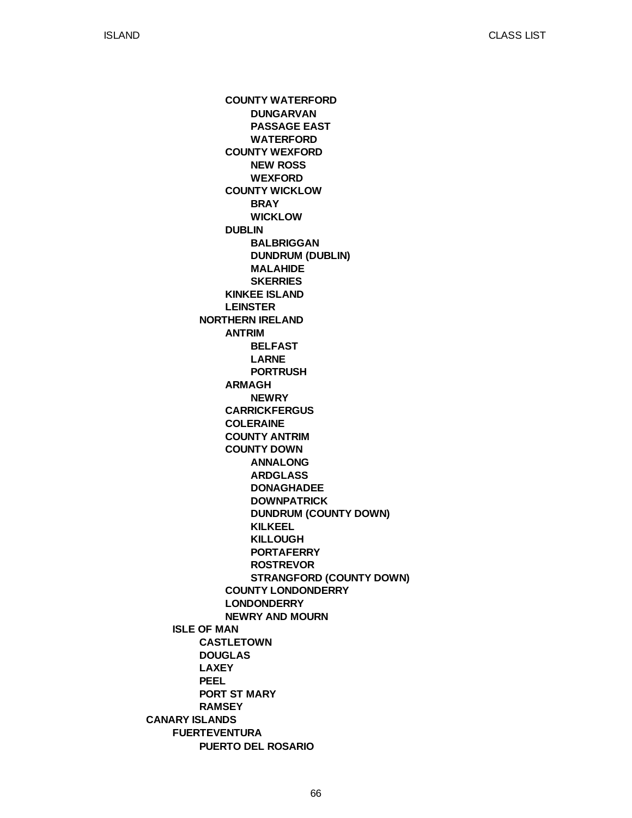**CANARY ISLANDS ISLE OF MAN FUERTEVENTURA NORTHERN IRELAND CASTLETOWN DOUGLAS LAXEY PEEL PORT ST MARY RAMSEY PUERTO DEL ROSARIO COUNTY WATERFORD COUNTY WEXFORD COUNTY WICKLOW DUBLIN KINKEE ISLAND LEINSTER ANTRIM ARMAGH CARRICKFERGUS COLERAINE COUNTY ANTRIM COUNTY DOWN COUNTY LONDONDERRY LONDONDERRY NEWRY AND MOURN DUNGARVAN PASSAGE EAST WATERFORD NEW ROSS WEXFORD BRAY WICKLOW BALBRIGGAN DUNDRUM (DUBLIN) MALAHIDE SKERRIES BELFAST LARNE PORTRUSH NEWRY ANNALONG ARDGLASS DONAGHADEE DOWNPATRICK DUNDRUM (COUNTY DOWN) KILKEEL KILLOUGH PORTAFERRY ROSTREVOR STRANGFORD (COUNTY DOWN)**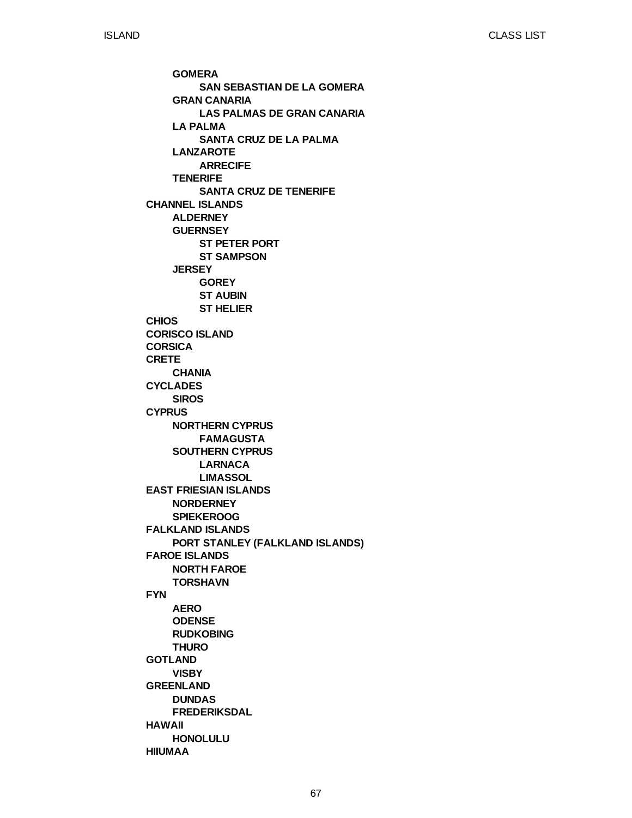**CHANNEL ISLANDS CHIOS CORISCO ISLAND CORSICA CRETE CYCLADES CYPRUS EAST FRIESIAN ISLANDS FALKLAND ISLANDS FAROE ISLANDS FYN GOTLAND GREENLAND HAWAII HIIUMAA GOMERA GRAN CANARIA LA PALMA LANZAROTE TENERIFE ALDERNEY GUERNSEY JERSEY CHANIA SIROS NORTHERN CYPRUS SOUTHERN CYPRUS NORDERNEY SPIEKEROOG PORT STANLEY (FALKLAND ISLANDS) NORTH FAROE TORSHAVN AERO ODENSE RUDKOBING THURO VISBY DUNDAS FREDERIKSDAL HONOLULU SAN SEBASTIAN DE LA GOMERA LAS PALMAS DE GRAN CANARIA SANTA CRUZ DE LA PALMA ARRECIFE SANTA CRUZ DE TENERIFE ST PETER PORT ST SAMPSON GOREY ST AUBIN ST HELIER FAMAGUSTA LARNACA LIMASSOL**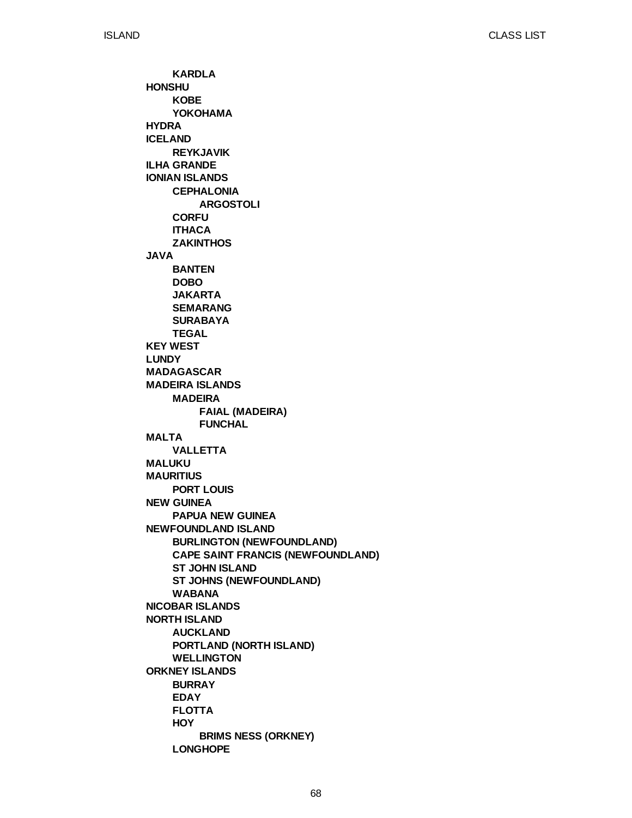**HONSHU HYDRA ICELAND ILHA GRANDE IONIAN ISLANDS JAVA KEY WEST LUNDY MADAGASCAR MADEIRA ISLANDS MALTA MALUKU MAURITIUS NEW GUINEA NEWFOUNDLAND ISLAND NICOBAR ISLANDS NORTH ISLAND ORKNEY ISLANDS KARDLA KOBE YOKOHAMA REYKJAVIK CEPHALONIA CORFU ITHACA ZAKINTHOS BANTEN DOBO JAKARTA SEMARANG SURABAYA TEGAL MADEIRA VALLETTA PORT LOUIS PAPUA NEW GUINEA BURLINGTON (NEWFOUNDLAND) CAPE SAINT FRANCIS (NEWFOUNDLAND) ST JOHN ISLAND ST JOHNS (NEWFOUNDLAND) WABANA AUCKLAND PORTLAND (NORTH ISLAND) WELLINGTON BURRAY EDAY FLOTTA HOY LONGHOPE ARGOSTOLI FAIAL (MADEIRA) FUNCHAL BRIMS NESS (ORKNEY)**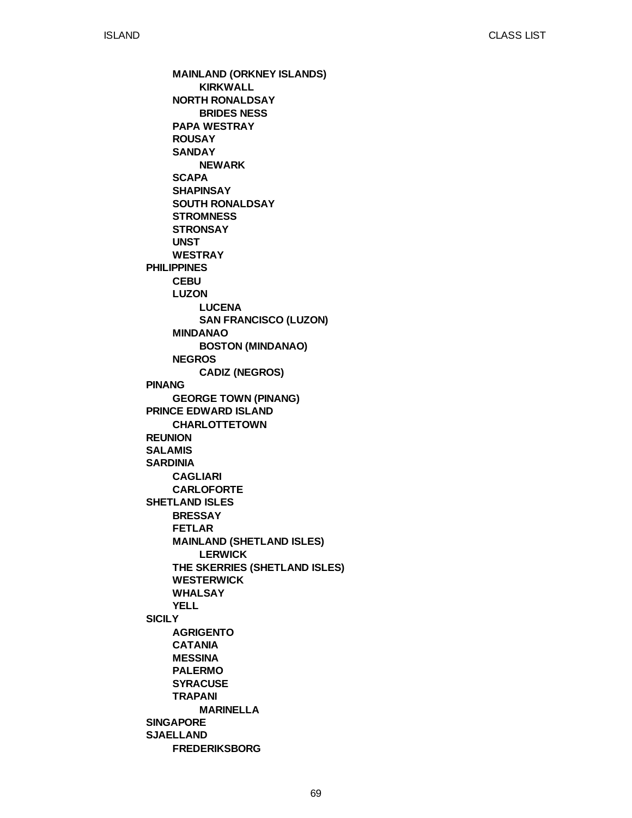**PHILIPPINES PINANG PRINCE EDWARD ISLAND REUNION SALAMIS SARDINIA SHETLAND ISLES SICILY SINGAPORE SJAELLAND MAINLAND (ORKNEY ISLANDS) NORTH RONALDSAY PAPA WESTRAY ROUSAY SANDAY SCAPA SHAPINSAY SOUTH RONALDSAY STROMNESS STRONSAY UNST WESTRAY CEBU LUZON MINDANAO NEGROS GEORGE TOWN (PINANG) CHARLOTTETOWN CAGLIARI CARLOFORTE BRESSAY FETLAR MAINLAND (SHETLAND ISLES) THE SKERRIES (SHETLAND ISLES) WESTERWICK WHALSAY YELL AGRIGENTO CATANIA MESSINA PALERMO SYRACUSE TRAPANI FREDERIKSBORG KIRKWALL BRIDES NESS NEWARK LUCENA SAN FRANCISCO (LUZON) BOSTON (MINDANAO) CADIZ (NEGROS) LERWICK MARINELLA**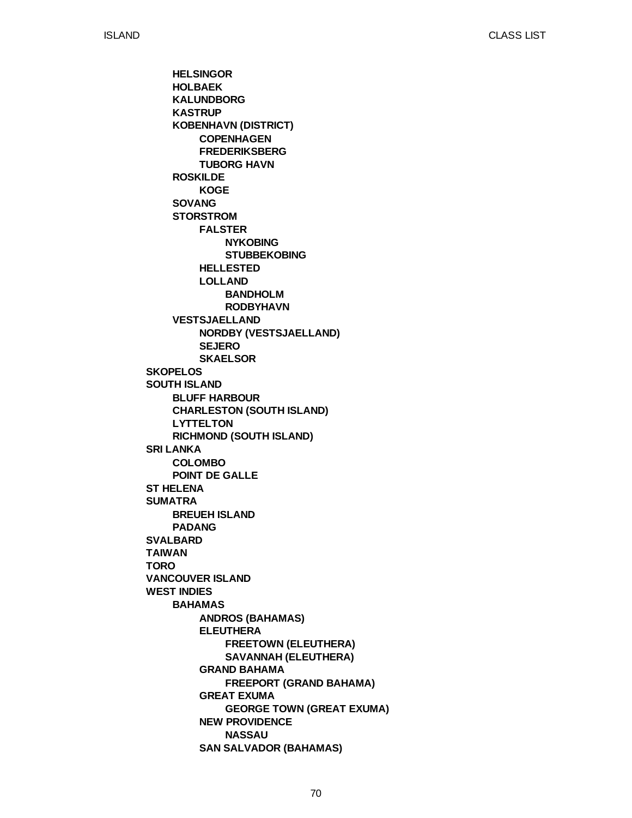**SKOPELOS SOUTH ISLAND SRI LANKA ST HELENA SUMATRA SVALBARD TAIWAN TORO VANCOUVER ISLAND WEST INDIES HELSINGOR HOLBAEK KALUNDBORG KASTRUP KOBENHAVN (DISTRICT) ROSKILDE SOVANG STORSTROM VESTSJAELLAND BLUFF HARBOUR CHARLESTON (SOUTH ISLAND) LYTTELTON RICHMOND (SOUTH ISLAND) COLOMBO POINT DE GALLE BREUEH ISLAND PADANG BAHAMAS COPENHAGEN FREDERIKSBERG TUBORG HAVN KOGE FALSTER HELLESTED LOLLAND NORDBY (VESTSJAELLAND) SEJERO SKAELSOR ANDROS (BAHAMAS) ELEUTHERA GRAND BAHAMA GREAT EXUMA NEW PROVIDENCE SAN SALVADOR (BAHAMAS) NYKOBING STUBBEKOBING BANDHOLM RODBYHAVN FREETOWN (ELEUTHERA) SAVANNAH (ELEUTHERA) FREEPORT (GRAND BAHAMA) GEORGE TOWN (GREAT EXUMA) NASSAU**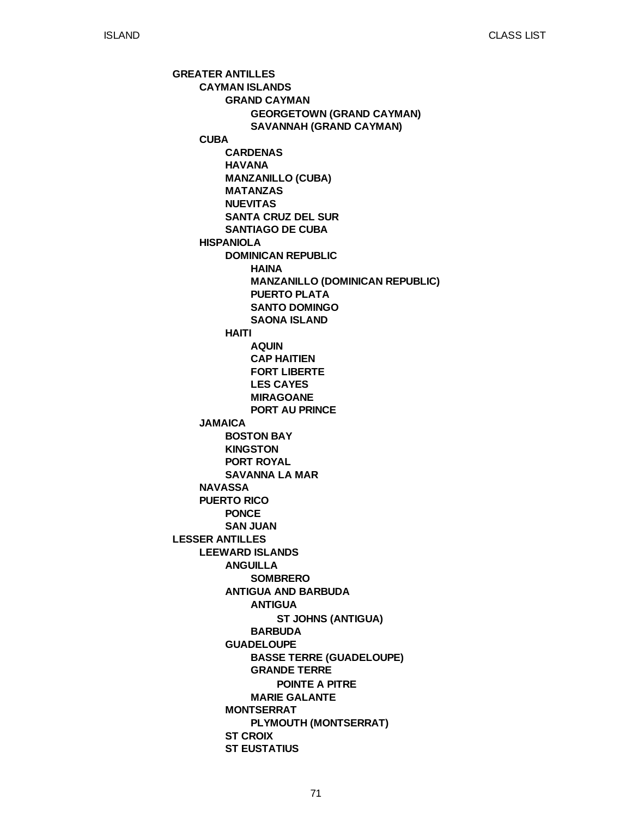**GREATER ANTILLES LESSER ANTILLES CAYMAN ISLANDS CUBA HISPANIOLA JAMAICA NAVASSA PUERTO RICO LEEWARD ISLANDS GRAND CAYMAN CARDENAS HAVANA MANZANILLO (CUBA) MATANZAS NUEVITAS SANTA CRUZ DEL SUR SANTIAGO DE CUBA DOMINICAN REPUBLIC HAITI BOSTON BAY KINGSTON PORT ROYAL SAVANNA LA MAR PONCE SAN JUAN ANGUILLA ANTIGUA AND BARBUDA GUADELOUPE MONTSERRAT ST CROIX ST EUSTATIUS GEORGETOWN (GRAND CAYMAN) SAVANNAH (GRAND CAYMAN) HAINA MANZANILLO (DOMINICAN REPUBLIC) PUERTO PLATA SANTO DOMINGO SAONA ISLAND AQUIN CAP HAITIEN FORT LIBERTE LES CAYES MIRAGOANE PORT AU PRINCE SOMBRERO ANTIGUA BARBUDA BASSE TERRE (GUADELOUPE) GRANDE TERRE MARIE GALANTE PLYMOUTH (MONTSERRAT) ST JOHNS (ANTIGUA) POINTE A PITRE**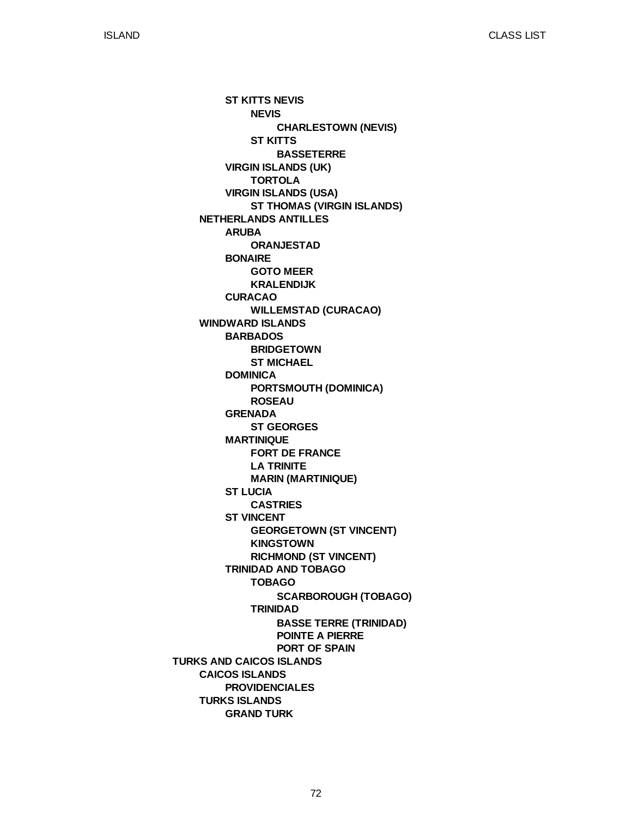**TURKS AND CAICOS ISLANDS NETHERLANDS ANTILLES WINDWARD ISLANDS CAICOS ISLANDS TURKS ISLANDS ST KITTS NEVIS VIRGIN ISLANDS (UK) VIRGIN ISLANDS (USA) ARUBA BONAIRE CURACAO BARBADOS DOMINICA GRENADA MARTINIQUE ST LUCIA ST VINCENT TRINIDAD AND TOBAGO PROVIDENCIALES GRAND TURK NEVIS ST KITTS TORTOLA ST THOMAS (VIRGIN ISLANDS) ORANJESTAD GOTO MEER KRALENDIJK WILLEMSTAD (CURACAO) BRIDGETOWN ST MICHAEL PORTSMOUTH (DOMINICA) ROSEAU ST GEORGES FORT DE FRANCE LA TRINITE MARIN (MARTINIQUE) CASTRIES GEORGETOWN (ST VINCENT) KINGSTOWN RICHMOND (ST VINCENT) TOBAGO TRINIDAD CHARLESTOWN (NEVIS) BASSETERRE SCARBOROUGH (TOBAGO) BASSE TERRE (TRINIDAD) POINTE A PIERRE PORT OF SPAIN**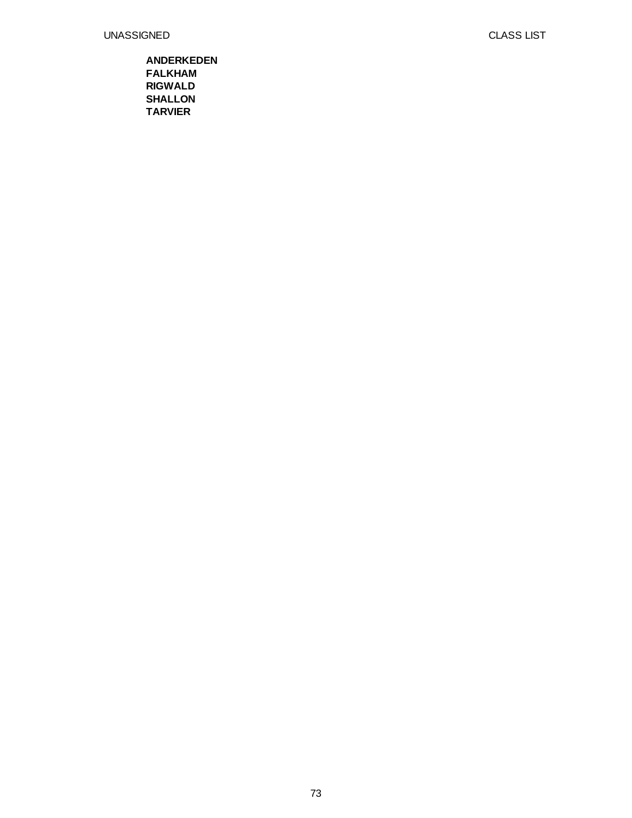## UNASSIGNED

## **ANDERKEDEN FALKHAM RIGWALD SHALLON TARVIER**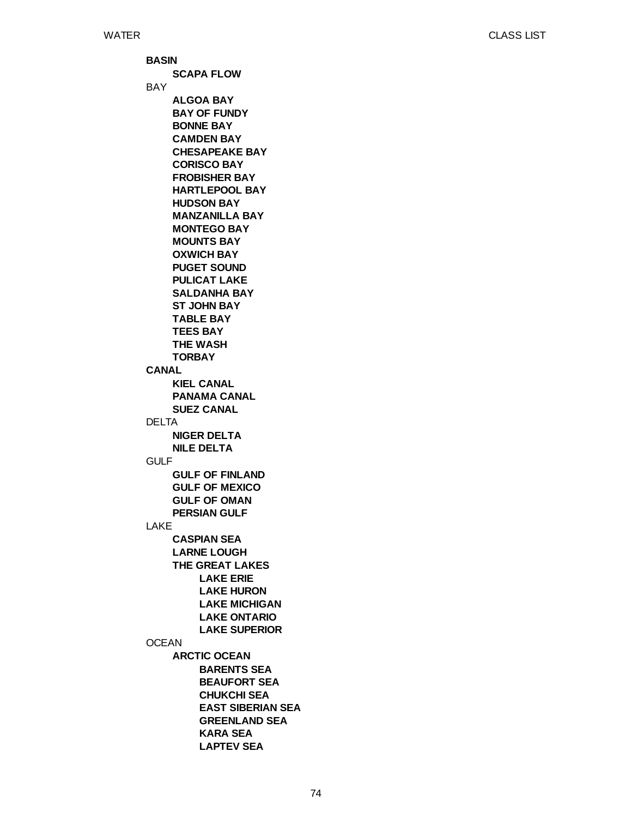**BASIN** BAY **CANAL** DELTA GULF LAKE **OCEAN SCAPA FLOW ALGOA BAY BAY OF FUNDY BONNE BAY CAMDEN BAY CHESAPEAKE BAY CORISCO BAY FROBISHER BAY HARTLEPOOL BAY HUDSON BAY MANZANILLA BAY MONTEGO BAY MOUNTS BAY OXWICH BAY PUGET SOUND PULICAT LAKE SALDANHA BAY ST JOHN BAY TABLE BAY TEES BAY THE WASH TORBAY KIEL CANAL PANAMA CANAL SUEZ CANAL NIGER DELTA NILE DELTA GULF OF FINLAND GULF OF MEXICO GULF OF OMAN PERSIAN GULF CASPIAN SEA LARNE LOUGH THE GREAT LAKES ARCTIC OCEAN LAKE ERIE LAKE HURON LAKE MICHIGAN LAKE ONTARIO LAKE SUPERIOR BARENTS SEA BEAUFORT SEA CHUKCHI SEA EAST SIBERIAN SEA GREENLAND SEA KARA SEA LAPTEV SEA**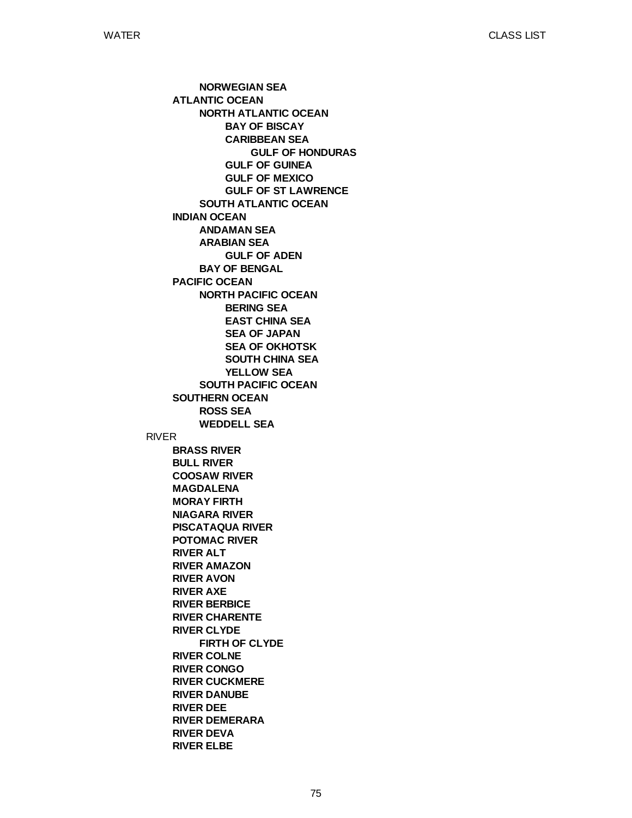RIVER **ATLANTIC OCEAN INDIAN OCEAN PACIFIC OCEAN SOUTHERN OCEAN BRASS RIVER BULL RIVER COOSAW RIVER MAGDALENA MORAY FIRTH NIAGARA RIVER PISCATAQUA RIVER POTOMAC RIVER RIVER ALT RIVER AMAZON RIVER AVON RIVER AXE RIVER BERBICE RIVER CHARENTE RIVER CLYDE RIVER COLNE RIVER CONGO RIVER CUCKMERE RIVER DANUBE RIVER DEE RIVER DEMERARA RIVER DEVA RIVER ELBE NORWEGIAN SEA NORTH ATLANTIC OCEAN SOUTH ATLANTIC OCEAN ANDAMAN SEA ARABIAN SEA BAY OF BENGAL NORTH PACIFIC OCEAN SOUTH PACIFIC OCEAN ROSS SEA WEDDELL SEA FIRTH OF CLYDE BAY OF BISCAY CARIBBEAN SEA GULF OF GUINEA GULF OF MEXICO GULF OF ST LAWRENCE GULF OF ADEN BERING SEA EAST CHINA SEA SEA OF JAPAN SEA OF OKHOTSK SOUTH CHINA SEA YELLOW SEA GULF OF HONDURAS**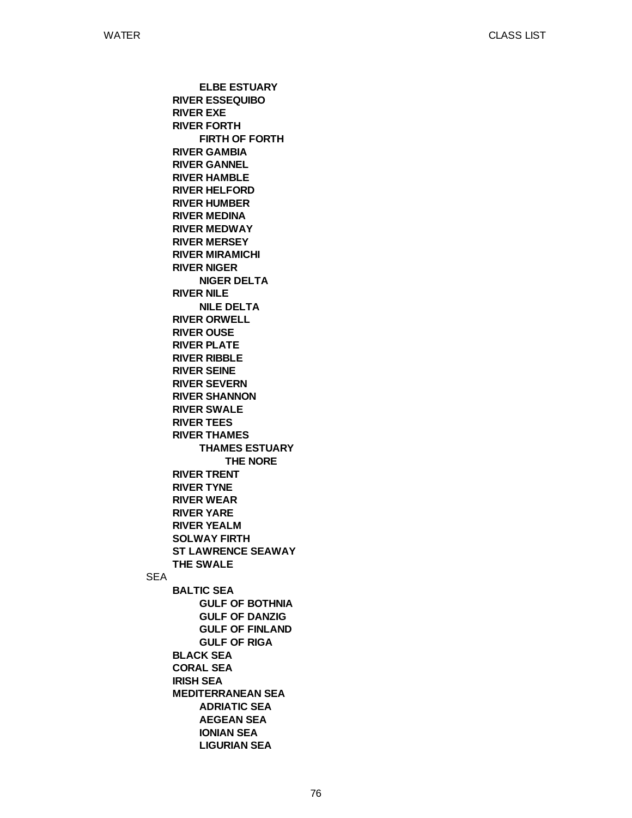SEA **RIVER ESSEQUIBO RIVER EXE RIVER FORTH RIVER GAMBIA RIVER GANNEL RIVER HAMBLE RIVER HELFORD RIVER HUMBER RIVER MEDINA RIVER MEDWAY RIVER MERSEY RIVER MIRAMICHI RIVER NIGER RIVER NILE RIVER ORWELL RIVER OUSE RIVER PLATE RIVER RIBBLE RIVER SEINE RIVER SEVERN RIVER SHANNON RIVER SWALE RIVER TEES RIVER THAMES RIVER TRENT RIVER TYNE RIVER WEAR RIVER YARE RIVER YEALM SOLWAY FIRTH ST LAWRENCE SEAWAY THE SWALE BALTIC SEA BLACK SEA CORAL SEA IRISH SEA MEDITERRANEAN SEA ELBE ESTUARY FIRTH OF FORTH NIGER DELTA NILE DELTA THAMES ESTUARY GULF OF BOTHNIA GULF OF DANZIG GULF OF FINLAND GULF OF RIGA ADRIATIC SEA AEGEAN SEA IONIAN SEA LIGURIAN SEA THE NORE**